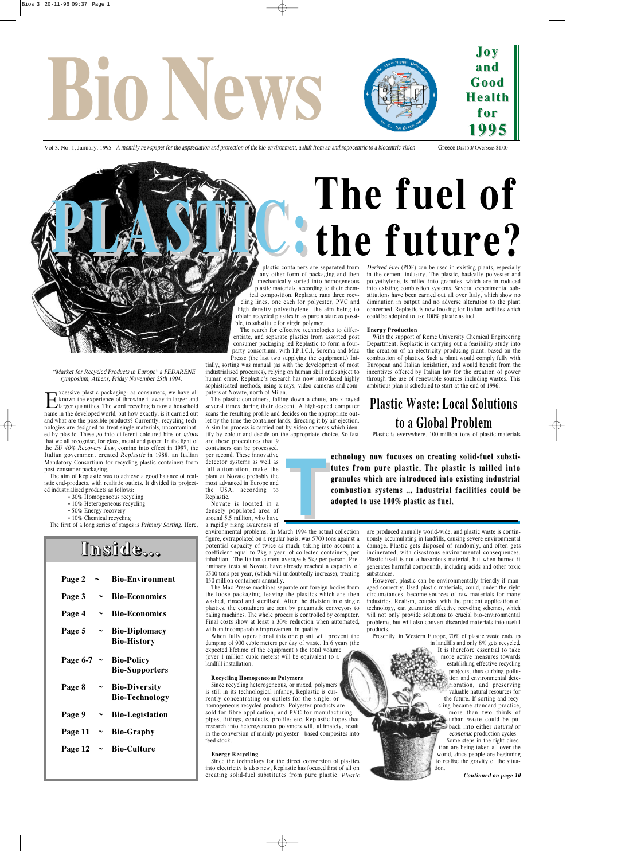"Market for Recycled Products in Europe" a FEDARENE symposium, Athens, Friday November 25th 1994.

Excessive plastic packaging: as consumers, we have all<br>
larger quantities. The word recycling is now a household<br>
name in the developed world, but how exectly is it corried out known the experience of throwing it away in larger and larger quantities. The word recycling is now a household name in the developed world, but how exactly, is it carried out and what are the possible products? Currently, recycling technologies are designed to treat single materials, uncontaminated by plastic. These go into different coloured bins or igloos that we all recognise, for glass, metal and paper. In the light of the EU 40% Recovery Law, coming into effect in 1997, the Italian government created Replastic in 1988, an Italian Mandatory Consortium for recycling plastic containers from post-consumer packaging.

The aim of Replastic was to achieve a good balance of realistic end-products, with realistic outlets. It divided its projected industrialised products as follows:

- 30% Homogeneous recycling
- 10% Heterogeneous recycling
- 50% Energy recovery
- 10% Chemical recycling

The first of a long series of stages is Primary Sorting. Here,

any other form of packaging and then mechanically sorted into homogeneous plastic materials, according to their chemical composition. Replastic runs three recycling lines, one each for polyester, PVC and high density polyethylene, the aim being to obtain recycled plastics in as pure a state as possible, to substitute for virgin polymer.

The search for effective technologies to differentiate, and separate plastics from assorted post consumer packaging led Replastic to form a fourparty consortium, with I.P.I.C.I, Sorema and Mac Presse (the last two supplying the equipment.) Ini-

tially, sorting was manual (as with the development of most industrialised processes), relying on human skill and subject to human error. Replastic's research has now introduced highly sophisticated methods, using x-rays, video cameras and computers at Novate, north of Milan.

The plastic containers, falling down a chute, are x-rayed several times during their descent. A high-speed computer scans the resulting profile and decides on the appropriate outlet by the time the container lands, directing it by air ejection. A similar process is carried out by video cameras which identify by colour and decide on the appropriate choice. So fast are these procedures that 9

plastic containers are separated from *Derived Fuel* (PDF) can be used in existing plants, especially in the cement industry. The plastic, basically polyester and polyethylene, is milled into granules, which are introduced into existing combustion systems. Several experimental substitutions have been carried out all over Italy, which show no diminution in output and no adverse alteration to the plant concerned. Replastic is now looking for Italian facilities which could be adopted to use 100% plastic as fuel.

containers can be processed, per second. These innovative detector systems as well as full automation, make the plant at Novate probably the most advanced in Europe and the USA, according to Replastic.

Novate is located in a densely populated area of around 5.5 million, who have a rapidly rising awareness of

The Mac Presse machines separate out foreign bodies from the loose packaging, leaving the plastics which are then washed, rinsed and sterilised. After the division into single plastics, the containers are sent by pneumatic conveyors to baling machines. The whole process is controlled by computer. Final costs show at least a 30% reduction when automated, with an incomparable improvement in quality. When fully operational this one plant will prevent the dumping of 900 cubic meters per day of waste. In 6 years (the expected lifetime of the equipment ) the total volume (over 1 million cubic meters) will be equivalent to a landfill installation.

#### **Recycling Homogeneous Polymers**

Since recycling heterogeneous, or mixed, polymers is still in its technological infancy, Replastic is currently concentrating on outlets for the single, or homogeneous recycled products. Polyester products are sold for fibre application, and PVC for manufacturing pipes, fittings, conducts, profiles etc. Replastic hopes that research into heterogeneous polymers will, ultimately, result in the conversion of mainly polyester - based composites into feed stock.

#### **Energy Recycling**

Since the technology for the direct conversion of plastics into electricity is also new, Replastic has focused first of all on creating solid-fuel substitutes from pure plastic. Plastic

#### **Energy Production**

environmental problems. In March 1994 the actual collection figure, extrapolated on a regular basis, was 5700 tons against a potential capacity of twice as much, taking into account a coefficient equal to 2kg a year, of collected containers, per inhabitant. The Italian current average is 5kg per person. Preliminary tests at Novate have already reached a capacity of 7500 tons per year, (which will undoubtedly increase), treating 150 million containers annually. **T**

With the support of Rome University Chemical Engineering Department, Replastic is carrying out a feasibility study into the creation of an electricity producing plant, based on the combustion of plastics. Such a plant would comply fully with European and Italian legislation, and would benefit from the incentives offered by Italian law for the creation of power through the use of renewable sources including wastes. This ambitious plan is scheduled to start at the end of 1996.

## **Plastic Waste: Local Solutions to a Global Problem**

Plastic is everywhere. 100 million tons of plastic materials

are produced annually world-wide, and plastic waste is continuously accumulating in landfills, causing severe environmental damage. Plastic gets disposed of randomly, and often gets incinerated, with disastrous environmental consequences. Plastic itself is not a hazardous material, but when burned it generates harmful compounds, including acids and other toxic substances.

However, plastic can be environmentally-friendly if managed correctly. Used plastic materials, could, under the right circumstances, become sources of raw materials for many industries. Realism, coupled with the prudent application of technology, can guarantee effective recycling schemes, which will not only provide solutions to crucial bio-environmental problems, but will also convert discarded materials into useful products. Presently, in Western Europe, 70% of plastic waste ends up in landfills and only 8% gets recycled. It is therefore essential to take more active measures towards establishing effective recycling projects, thus curbing pollution and environmental deterioration, and preserving valuable natural resources for the future. If sorting and recycling became standard practice, more than two thirds of urban waste could be put back into either natural or economic production cycles. Some steps in the right direction are being taken all over the world, since people are beginning to realise the gravity of the situation. **Continued on page 10**

Vol 3. No. 1, January, 1995 A monthly newspaper for the appreciation and protection of the bio-environment, a shift from an anthropocentric to a biocentric vision Greece Drs150/ Overseas \$1.00

The fuel of<br>the future?



- **Page 3 ~ Bio-Economics**
- **Page 4 ~ Bio-Economics**
- **Page 5 ~ Bio-Diplomacy Bio-History**
- **Page 6-7 ~ Bio-Policy Bio-Supporters**
- **Page 8 ~ Bio-Diversity Bio-Technology**
- **Page 9 ~ Bio-Legislation**
- **Page 11 ~ Bio-Graphy**
- **Page 12 ~ Bio-Culture**

**echnology now focuses on creating solid-fuel substi echnology now focuses on creating solid-fuel substitutes from pure plastic. The plastic is milled into tutes from pure plastic. The plastic is milled into granules which are introduced into existing industrial granules which are introduced into existing industrial combustion systems ... Industrial facilities could be combustion systems ... Industrial facilities could be adopted to use 100% plastic as fuel. adopted to use 100% plastic as fuel.**

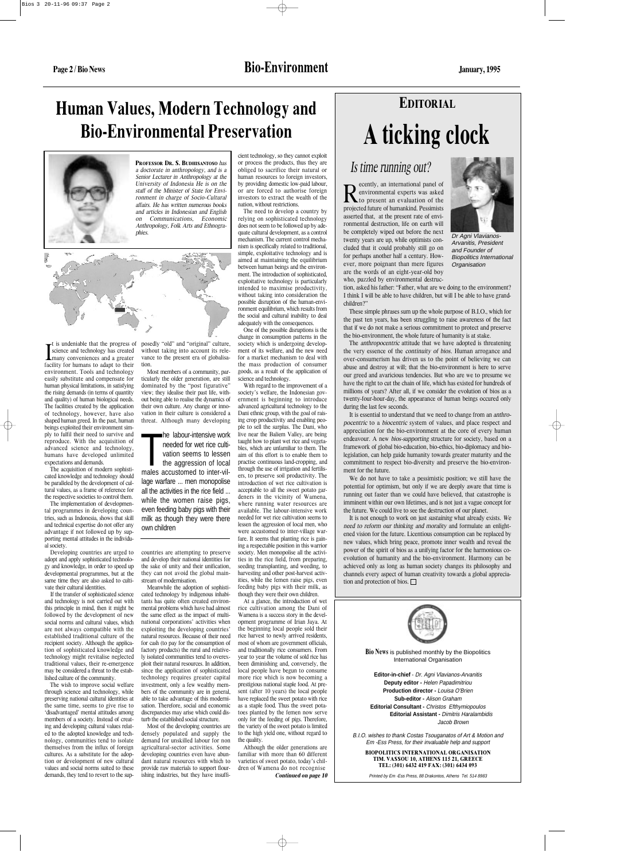It is underhable that the progress c<br>science and technology has created<br>many conveniences and a greater  $\blacktriangleright$  t is undeniable that the progress of science and technology has created facility for humans to adapt to their environment. Tools and technology easily substitute and compensate for human physical limitations, in satisfying the rising demands (in terms of quantity and quality) of human biological needs. The facilities created by the application of technology, however, have also shaped human greed. In the past, human beings exploited their environment simply to fulfil their need to survive and reproduce. With the acquisition of advanced science and technology, humans have developed unlimited expectations and demands.

The acquisition of modern sophisticated knowledge and technology should be paralleled by the development of cultural values, as a frame of reference for the respective societies to control them.

The implementation of developmental programmes in developing countries, such as Indonesia, shows that skill and technical expertise do not offer any advantage if not followed up by supporting mental attitudes in the individual society.

Developing countries are urged to adopt and apply sophisticated technology and knowledge, in order to speed up developmental programmes, but at the same time they are also asked to cultivate their cultural identities.

If the transfer of sophisticated

and technology is not carried out with this principle in mind, then it might be followed by the development of new social norms and cultural values, which are not always compatible with the established traditional culture of the recipient society. Although the application of sophisticated knowledge and technology might revitalise neglected traditional values, their re-emergence may be considered a threat to the established culture of the community.

The wish to improve social welfare through science and technology, while preserving national cultural identities at the same time, seems to give rise to 'disadvantaged' mental attitudes among members of a society. Instead of creating and developing cultural values related to the adopted knowledge and technology, communities tend to isolate themselves from the influx of foreign cultures. As a substitute for the adoption or development of new cultural values and social norms suited to these demands, they tend to revert to the sup-

posedly "old" and "original" culture,

without taking into account its relevance to the present era of globalisation. Most members of a community, par-

ticularly the older generation, are still dominated by the "post figurative" view; they idealise their past life, without being able to realise the dynamics of their own culture. Any change or innovation in their culture is considered a threat. Although many developing

countries are attempting to preserve and develop their national identities for the sake of unity and their unification, they can not avoid the global main-

stream of modernisation. Meanwhile the adoption of sophistiated technology by indigenous inhabitants has quite often created environmental problems which have had almost the same effect as the impact of multinational corporations' activities when exploiting the developing countries' natural resources. Because of their need for cash (to pay for the consumption of factory products) the rural and relatively isolated communities tend to overexploit their natural resources. In addition, since the application of sophisticated technology requires greater capital investment, only a few wealthy members of the community are in general, able to take advantage of this modernisation. Therefore, social and economic discrepancies may arise which could disturb the established social structure.

Most of the developing countries are densely populated and supply the demand for unskilled labour for non agricultural-sector activities. Some developing countries even have abundant natural resources with which to provide raw materials to support flourishing industries, but they have insuffi-

cient technology, so they cannot exploit or process the products, thus they are obliged to sacrifice their natural or human resources to foreign investors, by providing domestic low-paid labour, or are forced to authorise foreign investors to extract the wealth of the nation, without restrictions.

ecently, an international panel of<br>environmental experts was asked<br>to present an evaluation of the<br>president future of humanitied Bessimists environmental experts was asked to present an evaluation of the projected future of humankind. Pessimists asserted that, at the present rate of environmental destruction, life on earth will be completely wiped out before the next twenty years are up, while optimists concluded that it could probably still go on for perhaps another half a century. However, more poignant than mere figures are the words of an eight-year-old boy who, puzzled by environmental destruc-

The need to develop a country by relying on sophisticated technology does not seem to be followed up by adequate cultural development, as a control mechanism. The current control mechanism is specifically related to traditional, simple, exploitative technology and is aimed at maintaining the equilibrium between human beings and the environment. The introduction of sophisticated, exploitative technology is particularly intended to maximise productivity, without taking into consideration the possible disruption of the human-environment equilibrium, which results from the social and cultural inability to deal adequately with the consequences.

One of the possible disruptions is the change in consumption patterns in the society which is undergoing development of its welfare, and the new need for a market mechanism to deal with the mass production of consumer goods, as a result of the application of science and technology.

> It is not enough to work on just sustaining what already exists. We need to reform our thinking and morality and formulate an enlightened vision for the future. Licentious consumption can be replaced by new values, which bring peace, promote inner wealth and reveal the power of the spirit of bios as a unifying factor for the harmonious coevolution of humanity and the bio-environment. Harmony can be achieved only as long as human society changes its philosophy and channels every aspect of human creativity towards a global appreciation and protection of bios.  $\Box$



Dr Agni Vlavianos-Arvanitis, President and Founder of Biopolitics International **Organisation** 

With regard to the improvement of a society's welfare, the Indonesian government is beginning to introduce advanced agricultural technology to the Dani ethnic group, with the goal of raising crop productivity and enabling people to sell the surplus. The Dani, who live near the Baliem Valley, are being taught how to plant wet rice and vegetables, which are unfamiliar to them. The aim of this effort is to enable them to practise continuous land-cropping, and through the use of irrigation and fertilisers, to preserve soil productivity. The introduction of wet rice cultivation is acceptable to all the sweet potato gardeners in the vicinity of Wamena, where running water resources are available. The labour-intensive work needed for wet rice cultivation seems to lessen the aggression of local men, who were accustomed to inter-village warfare. It seems that planting rice is gaining a respectable position in this warrior society. Men monopolise all the activities in the rice field, from preparing, seeding transplanting, and weeding, to harvesting and other post-harvest activities, while the femen raise pigs, even feeding baby pigs with their milk, as though they were their own children.

The labour-interistive work<br>
meeded for wet rice culti-<br>
vation seems to lessen<br>
the aggression of local<br>
males accustomed to inter-vilhe labour-intensive work needed for wet rice cultivation seems to lessen the aggression of local lage warfare ... men monopolise all the activities in the rice field ... while the women raise pigs, even feeding baby pigs with their milk as though they were there own children

> At a glance, the introduction of wet rice cultivation among the Dani of Wamena is a success story in the development programme of Irian Jaya. At the beginning local people sold their rice harvest to newly arrived residents, most of whom are government officials, and traditionally rice consumers. From year to year the volume of sold rice has been diminishing and, conversely, the local people have begun to consume more rice which is now becoming a prestigious national staple food. At present (after 10 years) the local people have replaced the sweet potato with rice as a staple food. Thus the sweet potatoes planted by the femen now serve only for the feeding of pigs. Therefore, the variety of the sweet potato is limited to the high yield one, without regard to the quality.

> Although the older generations are familiar with more than 60 different varieties of sweet potato, today's children of Wamena do not recognise **Continued on page 10**

## **Human Values, Modern Technology and Bio-Environmental Preservation**





Em -Ess Press, for their invaluable help and support

#### **BIOPOLITICS INTERNATIONAL ORGANISATION TIM. VASSOU 10, ATHENS 115 21, GREECE TEL: (301) 6432 419 FAX: (301) 6434 093**

Printed by Em -Ess Press, 88 Drakontos, Athens Tel. 514 8983

tion, asked his father: "Father, what are we doing to the environment? I think I will be able to have children, but will I be able to have grandchildren?"

These simple phrases sum up the whole purpose of B.I.O., which for the past ten years, has been struggling to raise awareness of the fact that if we do not make a serious commitment to protect and preserve the bio-environment, the whole future of humanity is at stake.

The anthropocentric attitude that we have adopted is threatening the very essence of the continuity of bios. Human arrogance and over-consumerism has driven us to the point of believing we can abuse and destroy at will; that the bio-environment is here to serve our greed and avaricious tendencies. But who are we to presume we have the right to cut the chain of life, which has existed for hundreds of millions of years? After all, if we consider the evolution of bios as a twenty-four-hour-day, the appearance of human beings occured only during the last few seconds.

# **EDITORIAL A ticking clock**

It is essential to understand that we need to change from an anthropocentric to a biocentric system of values, and place respect and appreciation for the bio-environment at the core of every human endeavour. A new bios-supporting structure for society, based on a framework of global bio-education, bio-ethics, bio-diplomacy and biolegislation, can help guide humanity towards greater maturity and the commitment to respect bio-diversity and preserve the bio-environment for the future.

We do not have to take a pessimistic position; we still have the potential for optimism, but only if we are deeply aware that time is running out faster than we could have believed, that catastrophe is imminent within our own lifetimes, and is not just a vague concept for the future. We could live to see the destruction of our planet.

**PROFESSOR DR. S. BUDHISANTOSO** has a doctorate in anthropology, and is a Senior Lecturer in Anthropology at the University of Indonesia He is on the staff of the Minister of State for Environment in charge of Socio-Cultural affairs. He has written numerous books and articles in Indonesian and English on Communications, Economic Anthropology, Folk Arts and Ethnographies.

## Is time running out?

## Page 2 / Bio News January, 1995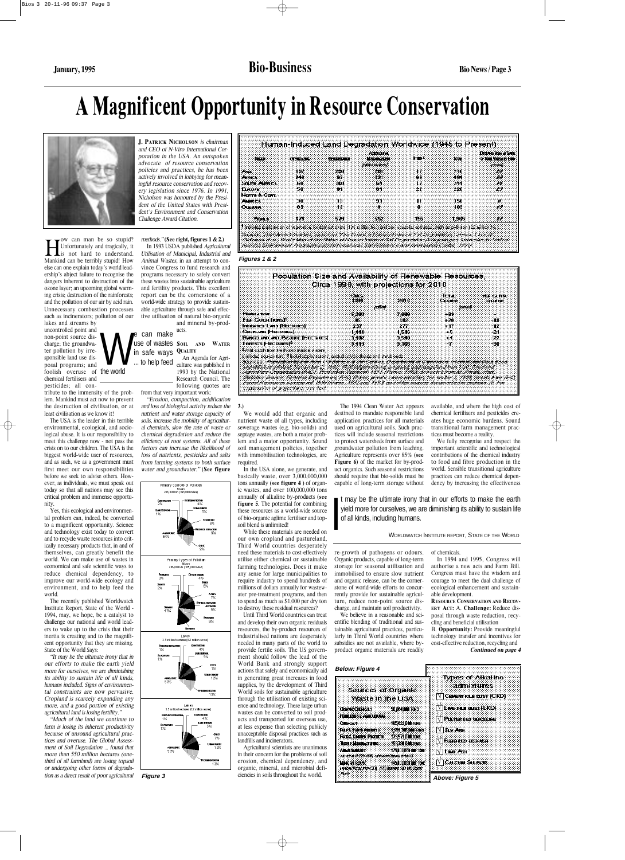## **January, 1995 Bio-Business Bio News / Page 3**

**How can man be so stupid?**<br>Unfortunately and tragically, it<br>Mankind can be terribly stupid! How Unfortunately and tragically, it Mankind can be terribly stupid! How else can one explain today's world leadership's abject failure to recognise the dangers inherent to destruction of the ozone layer; an upcoming global warming crisis; destruction of the rainforests; and the pollution of our air by acid rain. Unnecessary combustion processes such as incinerators; pollution of our

lakes and streams by uncontrolled point and non-point source discharge; the groundwater pollution by irresponsible land use disposal programs; and foolish overuse of **the world** chemical fertilisers and

pesticides; all contribute to the immensity of the problem. Mankind must act now to prevent the destruction of civilisation, or at least civilisation as we know it!

The USA is the leader in this terrible environmental, ecological, and sociological abuse. It is our responsibility to meet this challenge now - not pass the crisis on to our children. The USA is the biggest world-wide user of resources, and as such, we as a government must first meet our own responsibilities before we seek to advise others. However, as individuals, we must speak out today so that all nations may see this critical problem and immense opportunity.

Yes, this ecological and environmental problem can, indeed, be converted to a magnificent opportunity. Science and technology exist today to convert and to recycle waste resources into critically necessary products that, in and of themselves, can greatly benefit the world. We can make use of wastes in economical and safe scientific ways to reduce chemical dependency, to improve our world-wide ecology and environment, and to help feed the world.

The recently published Worldwatch Institute Report, State of the World - 1994, may, we hope, be a catalyst to challenge our national and world leaders to wake up to the crisis that their inertia is creating and to the magnificent opportunity that they are missing. State of the World Says:

"It may be the ultimate irony that in our efforts to make the earth yield more for ourselves, we are diminishing its ability to sustain life of all kinds, humans included. Signs of environmental constraints are now pervasive. Cropland is scarcely expanding any more, and a good portion of existing agricultural land is losing fertility."

"Much of the land we continue to farm is losing its inherent productivity because of unsound agricultural practices and overuse. The Global Assessment of Soil Degradation ... found that more than 550 million hectares (onethird of all farmland) are losing topsoil or undergoing other forms of degradation as a direct result of poor agricultural

methods." **(See right, figures 1 & 2.)** In 1993 USDA published Agricultural Utilisation of Municipal, Industrial and Animal Wastes, in an attempt to convince Congress to fund research and programs necessary to safely convert these wastes into sustainable agriculture and fertility products. This excellent report can be the cornerstone of a world-wide strategy to provide sustainable agriculture through safe and effective utilisation of natural bio-organic

and mineral by-prod-

culture was published in 1993 by the National Research Council. The following quotes are

from that very important work:

"Erosion, compaction, acidification and loss of biological activity reduce the nutrient and water storage capacity of soils, increase the mobility of agricultural chemicals, slow the rate of waste or chemical degradation and reduce the efficiency of root systems. All of these factors can increase the likelihood of loss of nutrients, pesticides and salts from farming systems to both surface water and groundwater." **(See figure**





**3.)**

We would add that organic and nutrient waste of all types, including sewerage wastes (e.g. bio-solids) and septage wastes, are both a major problem and a major opportunity. Sound soil management policies, together with immobilisation technologies, are required.

> **I** t may be the ultimate irony that in our efforts to make the earth yield more for ourselves, we are diminishing its ability to sustain life of all kinds, including humans.

In the USA alone, we generate, and basically waste, over 3,000,000,000 tons annually **(see figure 4 )** of organic wastes, and over 100,000,000 tons annually of alkaline by-products **(see figure 5**. The potential for combining these resources as a world-wide source of bio-organic aglime fertiliser and topsoil blend is unlimited!

While these materials are needed on our own cropland and pastureland, Third World countries desperately need these materials to cost-effectively utilise either chemical or sustainable farming technologies. Does it make any sense for large municipalities to require industry to spend hundreds of millions of dollars annually for wastewater pre-treatment programs, and then to spend as much as \$1,000 per dry ton to destroy these residual resources? Until Third World countries can treat and develop their own organic residuals resources, the by-product resources of industrialised nations are desperately needed in many parts of the world to provide fertile soils. The US government should follow the lead of the World Bank and strongly support actions that safely and economically aid in generating great increases in food supplies, by the development of Third World soils for sustainable agriculture through the utilisation of existing science and technology. These large urban wastes can be converted to soil products and transported for overseas use, at less expense than selecting publicly unacceptable disposal practices such as landfills and incinerators. Agricultural scientists are unanimous in their concern for the problems of soil erosion, chemical dependency, and organic, mineral, and microbial deficiencies in soils throughout the world.

ucts. **SOIL AND WATER** use of wastes **QUALITY** An Agenda for Agri-We can make<br>in safe ways<br>to help feed<br>the world in safe ways ... to help feed

> The 1994 Clean Water Act appears destined to mandate responsible land application practices for all materials used on agricultural soils. Such practices will include seasonal restrictions to protect watersheds from surface and groundwater pollution from leaching. Agriculture represents over 85% **(see Figure 6)** of the market for by-product organics. Such seasonal restrictions should require that bio-solids must be capable of long-term storage without

re-growth of pathogens or odours. Organic products, capable of long-term storage for seasonal utilisation and immobilised to ensure slow nutrient and organic release, can be the cornerstone of world-wide efforts to concurrently provide for sustainable agriculture, reduce non-point source discharge, and maintain soil productivity. We believe in a reasonable and scientific blending of traditional and sustainable agricultural practices, particularly in Third World countries where subsidies are not available, where byproduct organic materials are readily

available, and where the high cost of chemical fertilisers and pesticides creates huge economic burdens. Sound transitional farm management practices must become a reality.

We fully recognise and respect the important scientific and technological contributions of the chemical industry to food and fibre production in the world. Sensible transitional agriculture practices can reduce chemical dependency by increasing the effectiveness

of chemicals.

In 1994 and 1995, Congress will authorise a new acts and Farm Bill. Congress must have the wisdom and courage to meet the dual challenge of ecological enhancement and sustainable development. **RESOURCE CONSERVATION AND RECOV-ERY ACT:** A. **Challenge:** Reduce disposal through waste reduction, recycling and beneficial utilisation B. **Opportunity:** Provide meaningful technology transfer and incentives for cost-effective reduction, recycling and **Continued on page 4**

# **A Magnificent Opportunity in Resource Conservation**



**J. PATRICK NICHOLSON** is chairman and CEO of N-Viro International Corporation in the USA. An outspoken advocate of resource conservation policies and practices, he has been actively involved in lobbying for meaningful resource conservation and recovery legislation since 1976. In 1991, Nicholson was honoured by the President of the United States with President's Environment and Conservation Challenge Award Citation.

#### **Figures 1 & 2**



**Figure 3**

WORLDWATCH INSTITUTE REPORT, STATE OF THE WORLD

**Above: Figure 5**

| Below: Figure 4                                                                                                                                                                                                                                                                                                                                                |                                                                                                |  |  |
|----------------------------------------------------------------------------------------------------------------------------------------------------------------------------------------------------------------------------------------------------------------------------------------------------------------------------------------------------------------|------------------------------------------------------------------------------------------------|--|--|
| Sources of Organic<br>Waste in the USA                                                                                                                                                                                                                                                                                                                         | Types of Alkaline<br>admixtures<br>VCenem kan mist (CKD)                                       |  |  |
| <b>URGANIC CHEMICALS</b><br><b>超超 (超距</b><br>开这里也有终发决全的过去时度:<br><b>NET 623.000 TORE:</b><br><b>CHALLES</b><br>22517131001005<br>我们的是我们也知道的过去分词<br>多多花科的论<br>FRATA & KAMAREO PRODUCTO :<br><b>《北池通市5</b><br><b>Textus Modernitum</b><br>北西加亚亚 体影<br>AN MINNIGHT<br>Abineit na bhEithi diski, said ia duidhichte de faoil (Si<br>长知明朗声演<br><b>MANORA REPORTS</b> | VER KLIBS (LKD)<br>VI PLEWER BOOKERAGE<br>∏RY‱<br>VEWORED BED ASH<br>l√ Les en<br>VCACCH SLIST |  |  |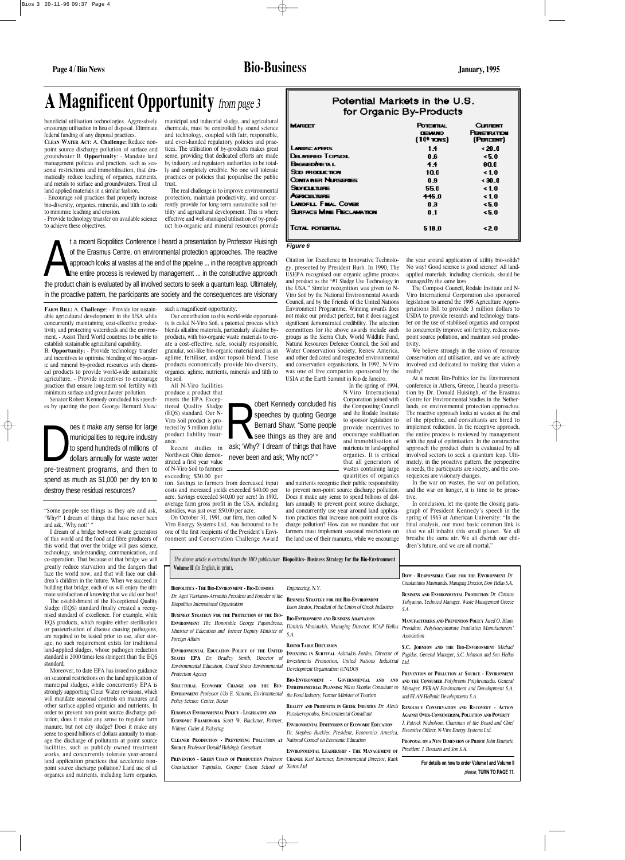**Page 4 / Bio News Bio-Business January, 1995**

beneficial utilisation technologies. Aggressively encourage utilisation in lieu of disposal. Eliminate federal funding of any disposal practices.

**CLEAN WATER ACT:** A. **Challenge:** Reduce nonpoint source discharge pollution of surface and groundwater B. **Opportunity**: - Mandate land management policies and practices, such as seasonal restrictions and immobilisation, that dramatically reduce leaching of organics, nutrients, and metals to surface and groundwaters. Treat all land applied materials in a similar fashion.

- Encourage soil practices that properly increase bio-diversity, organics, minerals, and tilth to soils to minimise leaching and erosion.

- Provide technology transfer on available science to achieve these objectives.

"Some people see things as they are and ask, 'Why?' I dream of things that have never been and ask, 'Why not!'

**FARM BILL:** A. **Challenge**: - Provide for sustainable agricultural development in the USA while concurrently maintaining cost-effective productivity and protecting watersheds and the environment. - Assist Third World countries to be able to establish sustainable agricultural capability.

B. **Opportunity:** - Provide technology transfer and incentives to optimise blending of bio-organic and mineral by-product resources with chemical products to provide world-wide sustainable agriculture. - Provide incentives to encourage practices that ensure long-term soil fertility with minimum surface and groundwater pollution.

Senator Robert Kennedy concluded his speeches by quoting the poet George Bernard Shaw:

I dream of a bridge between waste generators of this world and the food and fibre producers of this world, that over the bridge will pass science, technology, understanding, communication, and co-operation. That because of that bridge we will greatly reduce starvation and the dangers that face the world now, and that will face our children's children in the future. When we succeed in building that bridge, each of us will enjoy the ultimate satisfaction of knowing that we did our best!

The establishment of the Exceptional Quality Sludge (EQS) standard finally created a recognised standard of excellence. For example, while EQS products, which require either sterilisation or pasteurisation of disease causing pathogens, are required to be tested prior to use, after storage, no such requirement exists for traditional land-applied sludges, whose pathogen reduction standard is 2000 times less stringent than the EQS standard.

Moreover, to date EPA has issued no guidance on seasonal restrictions on the land application of municipal sludges, while concurrently EPA is strongly supporting Clean Water revisions, which will mandate seasonal controls on manures and other surface-applied organics and nutrients. In order to prevent non-point source discharge pollution, does it make any sense to regulate farm manure, but not city sludge? Does it make any sense to spend billions of dollars annually to manage the discharge of pollutants at point source facilities, such as publicly owned treatment works, and concurrently tolerate year-around land application practices that accelerate nonpoint source discharge pollution? Land use of all organics and nutrients, including farm organics,

the Composting Council and the Rodale Institute to sponsor legislation to provide incentives to encourage stabilisation and immobilisation of nutrients in land-applied organics. It is critical that all generators of speeches by quoting George Bernard Shaw: "Some people see things as they are and

municipal and industrial sludge, and agricultural chemicals, must be controlled by sound science and technology, coupled with fair, responsible, and even-handed regulatory policies and practices. The utilisation of by-products makes great sense, providing that dedicated efforts are made by industry and regulatory authorities to be totally and completely credible. No one will tolerate practices or policies that jeopardise the public trust.

The real challenge is to improve environmental protection, maintain productivity, and concurrently provide for long-term sustainable soil fertility and agricultural development. This is where effective and well-managed utilisation of by-product bio-organic and mineral resources provide

such a magnificent opportunity.

Our contribution to this world-wide opportunity is called N-Viro Soil, a patented process which blends alkaline materials, particularly alkaline byproducts, with bio-organic waste materials to create a cost-effective, safe, socially responsible, granular, soil-like bio-organic material used as an aglime, fertiliser, and/or topsoil blend. These products economically provide bio-diversity, organics, aglime, nutrients, minerals and tilth to the soil.

oes it make any sense for large<br>municipalities to require industry<br>to spend hundreds of millions of<br>dollars annually for waste water municipalities to require industry to spend hundreds of millions of dollars annually for waste water pre-treatment programs, and then to spend as much as \$1,000 per dry ton to destroy these residual resources?

All N-Viro facilities produce a product that meets the EPA Excep-

tional Quality Sludge (EQS) standard. Our N-Viro Soil product is protected by 5 million dollar product liability insurance.

t a recent Biopolitics Conference I heard a presentation by Professor Huisingh<br>of the Erasmus Centre, on environmental protection approaches. The reactive<br>approach looks at wastes at the end of the pipeline ... in the rece of the Erasmus Centre, on environmental protection approaches. The reactive approach looks at wastes at the end of the pipeline ... in the receptive approach the entire process is reviewed by management ... in the constructive approach the product chain is evaluated by all involved sectors to seek a quantum leap. Ultimately, in the proactive pattern, the participants are society and the consequences are visionary

> Recent studies in Northwest Ohio demonstrated a first year value of N-Viro Soil to farmers exceeding \$30.00 per

obert Kennedy concluded his<br>speeches by quoting George<br>Bernard Shaw: "Some people<br>see things as they are and<br>ack:  $\frac{10}{2}$  of the state have ask; 'Why?' I dream of things that have never been and ask; 'Why not?' "

costs and increased yields exceeded \$40.00 per acre. Savings exceeded \$40.00 per acre! In 1992, average farm gross profit in the USA, including subsidies, was just over \$50.00 per acre. On October 31, 1991, our firm, then called N-

ENVIRONMENT Professor Udo E. Simonis, Environmental the Food Industry, Former Minister of Tourism Policy Science Center, Berlin

Viro Energy Systems Ltd., was honoured to be one of the first recipients of the President's Environment and Conservation Challenge Award

Citation for Excellence in Innovative Technology, presented by President Bush. In 1990, The USEPA recognised our organic aglime process and product as the "#1 Sludge Use Technology in the USA." Similar recognition was given to N-

Viro Soil by the National Environmental Awards Council, and by the Friends of the United Nations Environment Programme. Winning awards does not make our product perfect, but it does suggest significant demonstrated credibility. The selection committees for the above awards include such groups as the Sierra Club, World Wildlife Fund, Natural Resources Defence Council, the Soil and Water Conservation Society, Renew America, and other dedicated and respected environmental and conservation organisations. In 1992, N-Viro was one of five companies sponsored by the USIA at the Earth Summit in Rio de Janeiro. In the spring of 1994, N-Viro International Corporation joined with

ton. Savings to farmers from decreased input and nutrients recognise their public responsibility quantities of organics to prevent non-point source discharge pollution. Does it make any sense to spend billions of dollars annually to prevent point source discharge, and concurrently use year around land application practices that increase non-point source discharge pollution? How can we mandate that our farmers must implement seasonal restrictions on the land use of their manures, while we encourage

> **INVESTING IN SURVIVAL** Asimakis Fotilas, Director of Pagidas, General Manager, S.C. Johnson and Son Hellas **S.C. JOHNSON AND THE BIO-ENVIRONMENT** Michael

wastes containing large

the year around application of utility bio-solids? No way! Good science is good science! All landapplied materials, including chemicals, should be managed by the same laws.

The Compost Council, Rodale Institute and N-Viro International Corporation also sponsored legislation to amend the 1995 Agriculture Appropriations Bill to provide 3 million dollars to USDA to provide research and technology transfer on the use of stabilised organics and compost to concurrently improve soil fertility, reduce nonpoint source pollution, and maintain soil productivity.

We believe strongly in the vision of resource conservation and utilisation, and we are actively involved and dedicated to making that vision a reality!

At a recent Bio-Politics for the Environment conference in Athens, Greece, I heard a presentation by Dr. Donald Huisingh, of the Erasmus Centre for Environmental Studies in the Netherlands, on environmental protection approaches. The reactive approach looks at wastes at the end of the pipeline, and consultants are hired to implement reduction. In the receptive approach, the entire process is reviewed by management with the goal of optimisation. In the constructive approach the product chain is evaluated by all involved sectors to seek a quantum leap. Ultimately, in the proactive pattern, the perspective is needs, the participants are society, and the consequences are visionary changes.

In the war on wastes, the war on pollution, and the war on hunger, it is time to be proactive.

In conclusion, let me quote the closing paragraph of President Kennedy's speech in the spring of 1963 at American University: "In the final analysis, our most basic common link is that we all inhabit this small planet. We all breathe the same air. We all cherish our children's future, and we are all mortal."

## **A Magnificent Opportunity** from page 3

**BIOPOLITICS - THE BIO-ENVIRONMENT - BIO-ECONOMY** Engineering, N.Y.

| Potential Markets in the U.S. |  |
|-------------------------------|--|
| for Organic By-Products       |  |
|                               |  |

| . <u>. .</u>                    | <b>FUIELILL</b><br><b>DELWAD</b><br>$(10^{\circ}$ TCMS) | чикнані<br><b>PENETRATION</b><br>(Percent) |
|---------------------------------|---------------------------------------------------------|--------------------------------------------|
| <b>LANDSCAPERS</b>              | 14                                                      | $\cdot 20.0$                               |
| <b>Delivered Topsol</b>         | 0.G                                                     | ←5.0                                       |
| <b>B</b> yce on the TAL         | 4.4                                                     | 80.O                                       |
| <b>SOD PRODUCTION</b>           | 10.0                                                    | $-1.0$                                     |
| <b>CONTAINER MURSERIES</b>      | 0.9                                                     | <b>∢30.0</b>                               |
| <b>SLYCLLTURE</b>               | 55.0                                                    | $-1.0$                                     |
| <b>AGROULTURE</b>               | 445.0                                                   | $-1.0$                                     |
| LANDELL FINAL COVER             | 0.3                                                     | €5.O                                       |
| <b>SURFACE MINE FECLAMATION</b> | 0.1                                                     | €5.O                                       |
| Total Potential                 | 518.0                                                   | ←20                                        |

Dr. Agni Vlavianos-Arvanitis President and Founder of the Biopolitics International Organisation **BUSINESS STRATEGY FOR THE PROTECTION OF THE BIO-BUSINESS STRATEGY FOR THE BIO-ENVIRONMENT** Iason Stratos, President of the Union of Greek Industries

**EUROPEAN ENVIRONMENTAL POLICY - LEGISLATIVE AND ECONOMIC FRAMEWORK** Scott W. Blackmer, Partner, Wilmer, Cutler & Pickering

**ENVIRONMENT** The Honorable George Papandreou, Minister of Education and former Deputy Minister of Foreign Affairs **BIO-ENVIRONMENT AND BUSINESS ADAPTATION** Dimitris Maniatakis, Managing Director, ICAP Hellas S.A.

**ENVIRONMENTAL EDUCATION POLICY OF THE UNITED STATES EPA** Dr. Bradley Smith, Director of Environmental Education, United States Environmental Protection Agency Investments Promotion, United Nations Industrial Ltd. Development Organization (UNIDO)

#### **ROUND TABLE DISCUSSION**

**PREVENTION - GREEN CHAIN OF PRODUCTION** Professor **CHANGE** Karl Kummer, Environmental Director, Rank Constantinos Yapijakis, Cooper Union School of Xerox Ltd

**STRUCTURAL ECONOMIC CHANGE AND THE BIO-ENTREPRENEURIAL PLANNING** Nikos Skoulas Consultant to Manager, PERAN Environment and Development S.A. **BIO-ENVIRONMENT - GOVERNMENTAL AND AND AND THE CONSUMER** Polyhronis Polyhroniadis, General **PREVENTION OF POLLUTION AT SOURCE - ENVIRONMENT** and ELAN Hellenic Developments S.A.

> **REALITY AND PROSPECTS IN GREEK INDUSTRY** Dr. Alexis **RESOURCE CONSERVATION AND RECOVERY - ACTION** Paraskevopoulos, Environmental Consultant **ENVIRONMENTAL DIMENSIONS OF ECONOMIC EDUCATION**

Dr. Stephen Buckles, President, Economics America,

**CLEANER PRODUCTION - PREVENTING POLLUTION AT** National Council on Economic Education **SOURCE** Professor Donald Huisingh, Consultant. **ENVIRONMENTAL LEADERSHIP - THE MANAGEMENT OF** President, I. Boutaris and Son S.A.

**DOW - RESPONSIBLE CARE FOR THE ENVIRONMENT** Dr. Constantinos Masmanidis, Managing Director, Dow Hellas S.A.

**BUSINESS AND ENVIRONMENTAL PROTECTION** Dr. Christos

Tsiliyannis, Technical Manager, Waste Management Greece S.A.

**MANUFACTURERS AND PREVENTION POLICY** Jared O. Blum, President, Polyisocyanurate Insulation Manufacturers' Association

**AGAINST OVER-CONSUMERISM, POLLUTION AND POVERTY** J. Patrick Nicholson, Chairman of the Board and Chief Executive Officer, N-Viro Energy Systems Ltd.

**PROPOSAL ON A NEW DIMENSION OF PROFIT** John Boutaris,

The above article is extracted from the BIO publication: **Biopolitics- Business Strategy for the Bio-Environment Volume II** (In English, in print)**.** 

> **For details on how to order Volume I and Volume II**  please, **TURN TO PAGE 11.**

#### **Figure 6**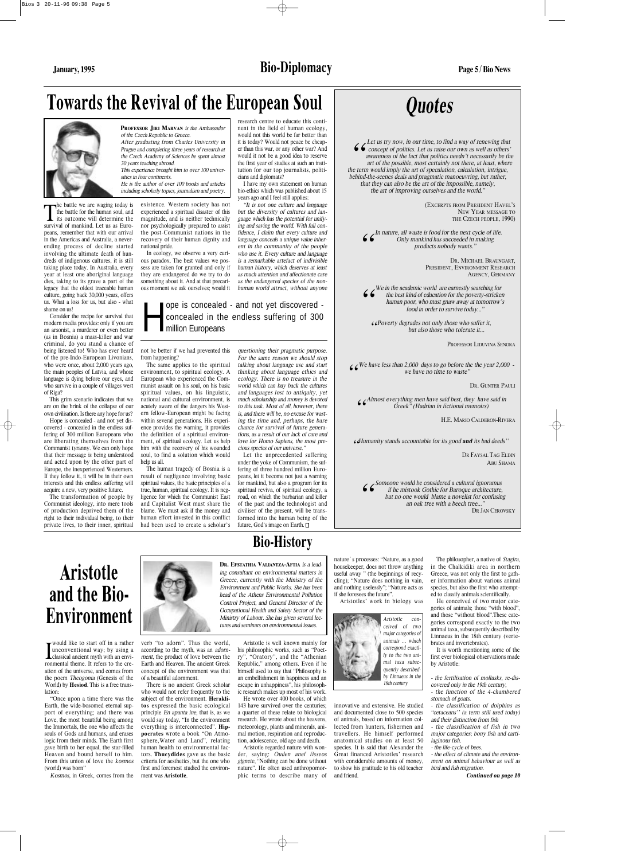**January, 1995 Bio-Diplomacy Page 5 / Bio News**

The means of the total in a rather<br>mean way; by using a<br>classical ancient myth with an envi-<br>ronmental theme. It refers to the crewould like to start off in a rather unconventional way; by using a classical ancient myth with an enviation of the universe, and comes from the poem Theogonia (Genesis of the World) by **Hesiod**. This is a free translation:

"Once upon a time there was the Earth, the wide-bosomed eternal support of everything; and there was Love, the most beautiful being among the Immortals, the one who affects the souls of Gods and humans, and erases logic from their minds. The Earth first gave birth to her equal, the star-filled Heaven and bound herself to him. From this union of love the kosmos (world) was born"

Kosmos, in Greek, comes from the

There is no ancient Greek scholar who would not refer frequently to the subject of the environment. **Heraklitos** expressed the basic ecological principle En apanta ine, that is, as we would say today, "In the environment everything is interconnected". **Hippocrates** wrote a book "On Atmosphere,Water and Land", relating human health to environmental factors. **Thucydides** gave us the basic criteria for aesthetics, but the one who first and foremost studied the environment was **Aristotle**.

nature<sup>'</sup>s processes: "Nature, as a good housekeeper, does not throw anything useful away " (the beginnings of recycling); "Nature does nothing in vain, and nothing uselessly"; "Nature acts as if she foresees the future".

Aristotle is well known mainly for his philosophic works, such as "Poetry", "Oratory", and the "Athenian Republic," among others. Even if he himself used to say that "Philosophy is an embellishment in happiness and an escape in unhappiness", his philosophic research makes up most of his work. He wrote over 400 books, of which 143 have survived over the centuries; a quarter of these relate to biological research. He wrote about the heavens, meteorology, plants and minerals, animal motion, respiration and reproduction, adolescence, old age and death. Aristotle regarded nature with won-

der, saying: Ouden anef fisseos gignete, "Nothing can be done without nature". He often used anthropomorphic terms to describe many of

## **Aristotle and the Bio-Environment** Cocupational Health and Safety Sector of the Ministry of Labour. She has given several lec-<br>Ministry of Labour. She has given several lec-



Aristotles' work in biology was

innovative and extensive. He studied

verb "to adorn". Thus the world, according to the myth, was an adornment, the product of love between the Earth and Heaven. The ancient Greek concept of the environment was that of a beautiful adornment. tures and seminars on environmental issues.

The battle we are waging today is<br>the battle for the human soul, and<br>its outcome will determine the<br>generated Let us as Euro the battle for the human soul, and its outcome will determine the survival of mankind. Let us as Europeans, remember that with our arrival in the Americas and Australia, a neverending process of decline started involving the ultimate death of hundreds of indigenous cultures, it is still taking place today. In Australia, every year at least one aboriginal language dies, taking to its grave a part of the legacy that the oldest traceable human culture, going back 30,000 years, offers us. What a loss for us, but also - what shame on us!

> and documented close to 500 species of animals, based on information collected from hunters, fishermen and travellers. He himself performed anatomical studies on at least 50 species. It is said that Alexander the Great financed Aristotles' research with considerable amounts of money, to show his gratitude to his old teacher and friend.

The philosopher, a native of Stagira, in the Chalkidiki area in northern Greece, was not only the first to gather information about various animal species, but also the first who attempted to classify animals scientifically.

He conceived of two major categories of animals; those "with blood", and those "without blood".These categories correspond exactly to the two animal taxa, subsequently described by Linnaeus in the 18th century (vertebrates and invertebrates).

It is worth mentioning some of the first ever biological observations made by Aristotle:

- the fertilisation of mollusks, re-discovered only in the 19th century,

- the function of the 4-chambered stomach of goats.

- the classification of dolphins as "cetaceans'' (a term still used today) and their distinction from fish

- the classification of fish in two major categories; bony fish and cartilaginous fish.

- the life-cycle of bees.

- the effect of climate and the environment on animal behaviour as well as bird and fish migration.

**Continued on page 10**

## **Bio-History**

**DR. EFSTATHIA VALIANTZA-AFTIA** is a leading consultant on environmental matters in Greece, currently with the Ministry of the Environment and Public Works. She has been head of the Athens Environmental Pollution

Control Project, and General Director of the Occupational Health and Safety Sector of the Ministry of Labour. She has given several lec-



 $\mathcal{L}$  Let us try now, in our time, to find a way of renewing that  $\mathcal{L}$  concent of politics. Let us raise our own as well as others' concept of politics. Let us raise our own as well as others' awareness of the fact that politics needn't necessarily be the art of the possible, most certainly not there, at least, where the term would imply the art of speculation, calculation, intrigue, behind-the-scenes deals and pragmatic manoeuvring, but rather, that they can also be the art of the impossible, namely, the art of improving ourselves and the world."

 $\zeta$   $\zeta$ <sup>In nature, all waste is food for the next cycle of life.<br>Only manking has succeeded in making</sup> Only mankind has succeeded in making products nobody wants."

Consider the recipe for survival that modern media provides: only if you are an arsonist, a murderer or even better (as in Bosnia) a mass-killer and war criminal, do you stand a chance of being listened to! Who has ever heard of the pre-Indo-European Livonians, who were once, about 2,000 years ago, the main peoples of Latvia, and whose language is dying before our eyes, and who survive in a couple of villages west of Riga?

 $\zeta$  We have less than 2,000 days to go before the the year 2,000 we have no time to waste"

 $\zeta \zeta$ Almost everything men have said best, they have said in Greek" (Hadrian in fictional memoirs)

This grim scenario indicates that we are on the brink of the collapse of our own civilisation. Is there any hope for us?

> $\mathcal{L}$  Someone would be considered a cultural ignoramus<br> $\mathcal{L}$  if he mistook Gothic for Baroque architecture. if he mistook Gothic for Baroque architecture, but no one would blame a novelist for confusing an oak tree with a beech tree...' DR JAN CEROVSKY

Hope is concealed - and not yet discovered - concealed in the endless suffering of 300 million Europeans who are liberating themselves from the Communist tyranny. We can only hope that their message is being understood and acted upon by the other part of Europe, the inexperienced Westerners. If they follow it, it will be in their own interests and this endless suffering will acquire a new, very positive future.

The transformation of people by Communist ideology, into mere tools of production deprived them of the right to their individual being, to their private lives, to their inner, spiritual

existence. Western society has not experienced a spiritual disaster of this magnitude, and is neither technically nor psychologically prepared to assist the post-Communist nations in the recovery of their human dignity and national pride.

In ecology, we observe a very curious paradox. The best values we possess are taken for granted and only if they are endangered do we try to do something about it. And at that precarious moment we ask ourselves; would it

ope is concealed - and not yet discovered -<br>concealed in the endless suffering of 300<br>million Europeans concealed in the endless suffering of 300 **n** million Europeans

not be better if we had prevented this from happening?

The same applies to the spiritual environment, to spiritual ecology. A European who experienced the Communist assault on his soul, on his basic spiritual values, on his linguistic, national and cultural environment, is acutely aware of the dangers his Western fellow-European might be facing within several generations. His experience provides the warning, it provides the definition of a spiritual environment, of spiritual ecology. Let us help him with the recovery of his wounded soul, to find a solution which would help us all.

The human tragedy of Bosnia is a result of negligence involving basic spiritual values, the basic principles of a true, human, spiritual ecology. It is negligence for which the Communist East and Capitalist West must share the blame. We must ask if the money and human effort invested in this conflict had been used to create a scholar's research centre to educate this continent in the field of human ecology, would not this world be far better than it is today? Would not peace be cheaper than this war, or any other war? And would it not be a good idea to reserve the first year of studies at such an institution for our top journalists, politi-

cians and diplomats?

# **Towards the Revival of the European Soul Quotes**



I have my own statement on human bio-ethics which was published about 15 years ago and I feel still applies:

"It is not one culture and language but the diversity of cultures and language which has the potential for unifying and saving the world. With full confidence, I claim that every culture and language conceals a unique value inherent in the community of the people who use it. Every culture and language is a remarkable artefact of indivisible human history, which deserves at least as much attention and affectionate care as the endangered species of the nonhuman world attract, without anyone

questioning their pragmatic purpose. For the same reason we should stop talking about language use and start thinking about language ethics and ecology. There is no treasure in the world which can buy back the cultures and languages lost to antiquity, yet much scholarship and money is devoted to this task. Most of all, however, there is, and there will be, no excuse for wasting the time and, perhaps, the bare chance for survival of future generations, as a result of our lack of care and love for Homo Sapiens, the most precious species of our universe."

Let the unprecedented suffering under the yoke of Communism, the suffering of three hundred million Europeans, let it become not just a warning for mankind, but also a program for its spiritual reviva, of spiritual ecology, a road, on which the barbarian and killer of the past and the technologist and civiliser of the present, will be transformed into the human being of the future, God's image on Earth.

(EXCERPTS FROM PRESIDENT HAVEL'S NEW YEAR MESSAGE TO THE CZECH PEOPLE, 1990)

DR. MICHAEL BRAUNGART, PRESIDENT, ENVIRONMENT RESEARCH AGENCY, GERMANY

 $\mathcal{L}$  We in the academic world are earnestly searching for the best kind of education for the poverty-stricker the best kind of education for the poverty-stricken human poor, who must gnaw away at tomorrow's food in order to survive today..."

"Poverty degrades not only those who suffer it, but also those who tolerate it...

PROFESSOR LIDUVINA SENORA

DR. GUNTER PAULI

H.E. MARIO CALDERON-RIVERA

"Humanity stands accountable for its good **and** its bad deeds''

DR FAYSAL TAG ELDIN ABU SHAMA

**PROFESSOR JIRI MARVAN** is the Ambassador of the Czech Republic to Greece. After graduating from Charles University in Prague and completing three years of research at

the Czech Academy of Sciences he spent almost 30 years teaching abroad. This experience brought him to over 100 universities in four continents.

He is the author of over 100 books and articles including scholarly topics, journalism and poetry.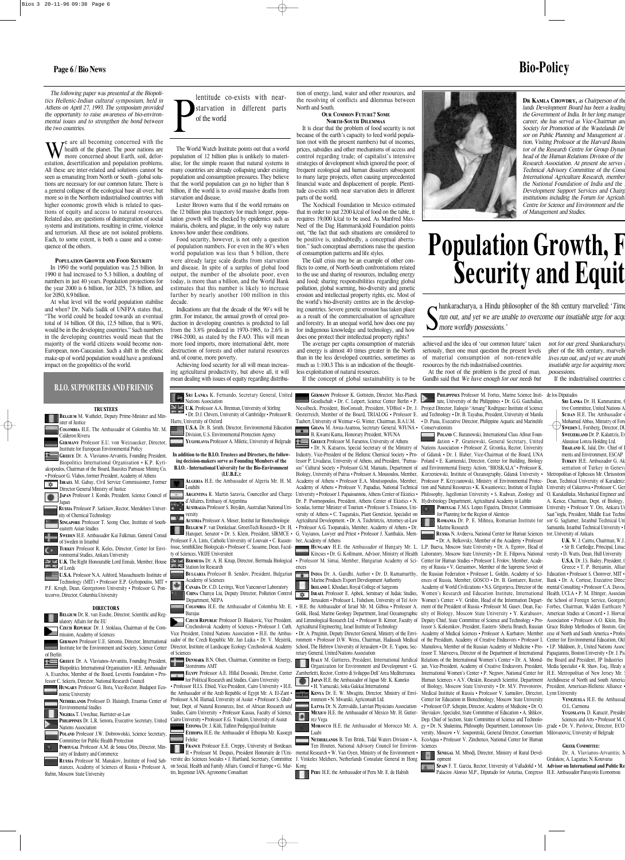**Page 6 / Bio News Bio-Policy**

The following paper was presented at the Biopolitics Hellenic-Indian cultural symposium, held in Athens on April 27, 1993. The symposium provided the opportunity to raise awareness of bio-environmental issues and to strengthen the bond between the two countries.

We are all becoming concerned with the<br>more concerned about Earth, soil, defor-<br>extation description and population problems health of the planet. The poor nations are more concerned about Earth, soil, deforestation, desertification and population problems. All these are inter-related and solutions cannot be seen as emanating from North or South - global solutions are necessary for our common future. There is a general collapse of the ecological base all over, but more so in the Northern industrialised countries with higher economic growth which is related to questions of equity and access to natural resources. Related also, are questions of disintegration of social systems and institutions, resulting in crime, violence and terrorism. All these are not isolated problems. Each, to some extent, is both a cause and a consequence of the others.

#### **POPULATION GROWTH AND FOOD SECURITY**

In 1950 the world population was 2.5 billion. In 1990 it had increased to 5.3 billion, a doubling of numbers in just 40 years. Population projections for the year 2000 is 6 billion, for 2025, 7.8 billion, and for 2050, 8.9 billion.

At what level will the world population stabilise and when? Dr. Nafis Sadik of UNFPA states that, "The world could be headed towards an eventual total of 14 billion. Of this, 12.5 billion, that is 90%, would be in the developing countries." Such numbers in the developing countries would mean that the majority of the world citizens would become non-European, non-Caucasian. Such a shift in the ethnic make-up of world population would have a profound impact on the geopolitics of the world.

The World Watch Institute points out that a world population of 12 billion plus is unlikely to materialise, for the simple reason that natural systems in many countries are already collapsing under existing population and consumption pressures. They believe that the world population can go no higher than 8 billion, if the world is to avoid massive deaths from starvation and disease.

Lester Brown warns that if the world remains on the 12 billion plus trajectory for much longer, population growth will be checked by epidemics such as malaria, cholera, and plague, in the only way nature knows how under these conditions.

Food security, however, is not only a question of population numbers. For even in the 80's when world population was less than 5 billion, there were already large scale deaths from starvation and disease. In spite of a surplus of global food output, the number of the absolute poor, even today, is more than a billion, and the World Bank estimates that this number is likely to increase further by nearly another 100 million in this decade.

> not for our greed. Shankaracharya pher of the 8th century, marvell lives run out, and yet we are unab insatiable urge for acquiring more

Indications are that the decade of the 90's will be grim. For instance, the annual growth of cereal production in developing countries is predicted to fall from the 3.8% produced in 1970-1985, to 2.6% in 1984-2000, as stated by the FAO. This will mean more food imports, more international debt, more destruction of forests and other natural resources and, of course, more poverty.

Achieving food security for all will mean increasing agricultural productivity, but above all, it will mean dealing with issues of equity regarding distribu-

**COLOMBIA** H.E. The Ambassador of Colombia Mr. M. Calderon Rivera **U.S.A.** Dr. B. Smith, Director, Environmental Education

**GREECE** Dr. A. Vlavianos-Arvanitis, Founding President, Biopolitics International Organisation • K.P. Kyriakopoulos, Chairman of the Board, Bauxites Parnasse Mining Co. • Professor G. Vlahos, former President, Academy of Athens

tion of energy, land, water and other resources, and the resolving of conflicts and dilemmas between North and South.

**OUR COMMON FUTURE? SOME NORTH-SOUTH DILEMMAS**

**U.S.A**. Professor N.A. Ashford, Massachusetts Institute of Technology (MIT) • Professor E.P. Gyftopoulos, MIT • P.F. Krogh, Dean, Georgetown University • Professor G. Pon-

tecorvo, Director, Columbia University

It is clear that the problem of food security is not because of the earth's capacity to feed world population (not with the present numbers) but of incomes, prices, subsidies and other mechanisms of access and control regarding trade; of capitalist's intensive strategies of development which ignored the poor; of frequent ecological and human disasters subsequent to many large projects, often causing unprecedented financial waste and displacement of people. Plentitude co-exists with near starvation diets in different parts of the world.

**BELGIUM** Dr. R. van Essche, Director, Scientific and Regulatory Affairs for the EU

**GREECE** Dr. A. Vlavianos-Arvanitis, Founding President, Biopolitics International Organisation • H.E. Ambassador

A. Exarchos, Member of the Board, Leventis Foundation • Professor C. Sekeris, Director, National Research Council

The Xochicall Foundation in Mexico estimated that in order to put 2200 k/cal of food on the table, it requires 19,000 k/cal to be used. As Manfred Max-Neef of the Dag Hammarskjold Foundation points out, "the fact that such situations are considered to be positive is, undoubtedly, a conceptual aberration." Such conceptual aberrations raise the question of consumption patterns and life styles.

**(I.U.B.E.): ALGERIA** H.E. the Ambassador of Algeria Mr. H. M. **Louhibi**<br>Louhibi

The Gulf crisis may be an example of other conflicts to come, of North-South confrontations related to the use and sharing of resources, including energy and food; sharing responsibilities regarding global pollution, global warming, bio-diversity and genetic erosion and intellectual property rights, etc. Most of the world's bio-diversity centres are in the developing countries. Severe genetic erosion has taken place as a result of the commercialisation of agriculture and forestry. In an unequal world, how does one pay for indigenous knowledge and technology, and how does one protect their intellectual property rights?

The average per capita consumption of materials and energy is almost 40 times greater in the North than in the less developed countries, sometimes as much as 1:100.3 This is an indication of the thoughtless exploitation of natural resources.

**DENMARK** B.N. Olsen, Chairman, Committee on Energy, æ Storstroms AMT

**EGYPT** Professor A.E. Hillal Dessouki, Director, Center Zamberletti, Rector, Centro di Sviluppo Dell'Area Mediterranea for Political Research and Studies, Cairo University • Professor H.I.S. Ebied, Vice-President, Cairo University • H.E.

NETHERLANDS Professor D. Huisingh, Erasmus Center of Professor A.M. Hamad, University of Assiut • Professor S. Ghabthe Ambassador of the Arab Republic of Egypt Mr. A. El-Zant • If the concept of global sustainability is to be

• Dr. D.J. Chivers, University of Cambridge • Professor R. Oesterreich, Member of the Board, TRIALOG • Professor E. and Technology • Dr. B. Tayabas, President, University of Manila **GERMANY** Professor K. Gottstein, Director, Max-Planck Gesellschaft • Dr. C. Leipert, Science Center Berlin • P. Niesslbeck, President, BioConsult, President, VDBiol • Dr. J. Project Director, Eulogio "Amang" Rodriguez Institute of Science Taubert, University of Weimar • G. Winter, Chairman, B.A.U.M. • D. Pasia, Executive Director, Philippine Aquatic and Marinelife

bour, Dept. of Natural Resources, Inst. of African Research and Studies, Cairo University • Professor Kassas, Faculty of Science, achieved and the idea of 'our common future' taken seriously, then one must question the present levels of material consumption of non-renewable resources by the rich industrialised countries.

At the root of the problem is the greed of man. Gandhi said that We have enough for our needs but

possessions. If the industrialised countries c

# **Population Growth, F Security and Equit**



#### **TRUSTEES**

**GERMANY** Professor E.U. von Weizsaecker, Director, Institute for European Environmental Policy

> **JAPAN** H.E. the Ambassador of Japan Mr. K. Kaneko • H. Yamazaki, Soka Gakkai International

**KENYA Dr. E. W. Mwagiru, Director, Ministry of Envi**ronment • N. Mwaniki, Agriconsult Ltd.

**MOROCCO** H.E. the Ambassador of Morocco Mr. A. Laab

**ISRAEL** M. Gabay, Civil Service Commissioner, Former  $\Rightarrow$ Director General Ministry of Justice

**JAPAN** Professor J. Kondo, President, Science Council of Japan

**RUSSIA** Professor P. Sarkisov, Rector, Mendeleev University of Chemical Technology

**SINGAPORE** Professor T. Seong Chee, Institute of Southeastern Asian Studies

**GHANA** M. Awua-Asamoa, Secretary General, WFUNA • **GREECE** Professor M. Farantos, University of Athens • Dr. N. Katsaros, Special Secretary of the Ministry of Nations Association • Professor Z. Grzonka, Rector, University Industry, Vice-President of the Hellenic Chemical Society • Pro- of Gdansk • Dr. J. Haber, Vice-Chairman of the Board, UNA Conservationists

**SWEDEN** H.E. Ambassador Kai Falkman, General Consul of Sweden in Istanbul

**TURKEY** Professor R. Keles, Director, Center for Environmental Studies, Ankara University

**U.K**. The Right Honourable Lord Ennals, Member, House of Lords

Professor P. Krzyzanowski, Ministry of Environmental Protec-Dean, Technical University of Karadeniz Metropolitan of Ephessos Mr. Chrisostom O. Karakulluku, Mechanical Engineer and A. Kence, Chairman, Dept. of Biology, University • Professor Y. Ors, Ankara U

**RUSSIA** N. Avdeeva, National Center for Human Sciences tor, University of Ankara Samsunlu, Istanbul Technical University •

#### **DIRECTORS**

**BELGIUM** M. Wathelet, Deputy Prime-Minister and Minister of Justice Harre, University of Oxford

**CZECH REPUBLIC** Dr. J. Stoklasa, Chairman of the Commission, Academy of Sciences

Kincses • Dr. G. Kollmann, Advisor, Ministry of Health Laboratory, Moscow State University • Dr. E. Filipova, National **INDIA** Dr. A. Gandhi, Author • Dr. D. Ramamurthy, the Russian Federation • Professor L. Goldin, Academy of Sci- Education • Professor S. Chorover, MIT • Center for Human Studies • Professor I. Frolov, Member, Academy of Russia • V. Gerasimov, Member of the Supreme Soviet of ences of Russia, Member, GOSCO • Dr. B. Gontarev, Rector, Bank • Dr. A. Cortese, Executive Direc Academy of World Civilizations • N.S. Grigorjeva, Director of the mental Consulting • Professor C.A. Davos, Women's Research and Education Institute, International

of Berlin

**HUNGARY** Professor G. Bora, Vice-Rector, Budapest Economic University

Environmental Studies

- **NIGERIA** T. Uwechue, Barrister-at-Law
- **PHILIPPINES** Dr. L.R. Senora, Executive Secretary, United Cairo University Professor E.G. Yoakim, University of Assiut Nations Association
- **POLAND** Professor J.W. Dobrowolski, Science Secretary, Committee for Public Health Protection
- **PORTUGAL** Professor A.M. de Sousa Otto, Director, Ministry of Industry and Commerce

Institute for the Environment and Society, Science Center Director, Institute of Landscape Ecology Czechoslovak Academy School, The Hebrew University of Jerusalem • Dr. E. Yapou, Sec-Manuilova, Member of the Russian Academ Czech Republic Professor D. Blaskovic, Vice President, and Limnological Research Ltd. • Professor B. Kimor, Faculty of Deputy Chief, State Committee of Science and Technology • Pro- Association • Professor A.O. Klein, Bra Golik, Head, Marine Geology Department, Israel Oceanographic ulty of Biology, Moscow State University • Y. Karabasov, American Studies at Concord • J. Horvat **ITALY** M. Guttieres, President, International Juridical Relations of the International Women's Center • Dr. A. Momd- the Board and President, JP Industries Organization for Environment and Development • G. jan, Vice-President, Academy of Creative Endeavors, President, Media Specialist • R. Shaw, Esq., Healy a **MEXICO** H.E. the Ambassador of Mexico Mr. H. Gutier- Sheviakov, Specialist, State Committee of Education • A. Shlikov, Women's Center. • V. Grishin, Head of the Information Departfessor S. Kolesnikov, President, Eastern- Siberia Branch, Russian Grace Bishop Methodios of Boston, Gre fessor T. Matveeva, Director of the Department of International Papagiannis, Boston University • Dr. J. Psa International Women's Center • P. Negnov, National Center for H.E. Metropolitan of New Jersey Mr. S Human Sciences • A.V. Oleskin, Research Scientist, Department Archdiocese of North and South America of Biology, Moscow State University • Dr. M.V. Provotorov, President, American-Hellenic Alliance • Medical Institute of Russia • Professor V. Samuilov, Director, Lynn University Center for Education in Biotechnology, Moscow State University • Professor O.P. Schepin, Director, Academy of Medicine • Dr. O. Dep. Chief of Section, State Committee of Science and Technolo-

gy • Dr. N. Shulenina, Philosophy Department, Lomonosov Uni- grade • Dr. V. Pavlovic, Director, ECO versity, Moscow • V. Souponitski, General Director, Consortium Milovanovic, University of Belgrade EcoAqua • Professor V. Zinchenco, National Center for Human

NETHERLANDS B. Ten Brink, Tidal Waters Division • A. Ten Houten, National Advisory Council for Environ-Sciences

II • Professor M. Despax, President Honoraire de l'Uni- mental Research • W. Van Oyen, Ministry of the Environment •

**RUSSIA** Professor M. Manakov, Institute of Food Sub-

stances, Academy of Sciences of Russia • Professor A.

Rubin, Moscow State University

Department, NEPA

**SRI LANKA** K. Fernando, Secretary General, United

Nations Association

**I** Fo

SRI LANKA Dr. H. Karunaratne, tive Committee, United Nations A **SUDAN** H.E. The Ambassador Mohamed Abbas, Ministry of Fore **SWEDEN** L. Forsberg, Director, DI **SWITZERLAND Dr. P. Kalantzis, E.** Alusuisse Lonza Holding Ltd. **THAILAND K. Jalal, Div. Chief of** ments and Environment, ESCAP

**TURKEY** H.E. Ambassador G. Ak sentation of Turkey in Genev

Saat "ioglu, President, Middle East Techn sor G. Saglamer, Istanbul Technical Un

versity • D. Watts, Dean, Hull University

|--|--|--|--|

Division, U.S. Environmental Protection Agency **YUGOSLAVIA** Professor A. Miletic, University of Belgrade

> **U.K**. W. J. Cairns, Chairman, W.J. • Sir B. Cartledge, Principal, Linac

U.S.A. Dr. J.S. Bailey, President, the Greece • T. P. Benjamin, Allian

Health, UCLA • P. M. Ebinger, Associate

**In addition to the B.I.O. Trustees and Directors, the following decision-makers serve as Founding Members of the B.I.O. - International University for the Bio-Environment**

**U.K.** Professor A.A. Brennan, University of Stirling

d'Affaires, Embassy of Argentina

**AUSTRALIA** Professor S. Boyden, Australian National University

> **YUGOSLAVIA** D. Kanazir, Presiden Sciences and Arts • Professor M.

**AUSTRIA** Professor A. Moser, Institut fur Biotechnologie Professor F.A. Lints, Catholic University of Louvain • C. Rassen- ber, Academy of Athens fosse, SmithKline Biologicals • Professor C. Susanne, Dean, Faculty of Sciences, VRIJE Universiteit

> **SPAIN** F. T. Garcia, Rector, University of Valladolid • M. Advisor on International and Public Re Palacios Alonso M.P., Diputado for Asturias, Congreso H.E. Ambassador Panayotis Economou

S run out, and yet we are un<br>more worldly possessions.' hankaracharya, a Hindu philosopher of the 8th century marvelled: 'Time run out, and yet we are unable to overcome our insatiable urge for acqu

**BERMUDA** Dr. A. H. Knap, Director, Bermuda Biological Station for Research

**BULGARIA** Professor B. Sendov, President, Bulgarian Academy of Sciences H

**CANADA** Dr. C.D. Levings, West Vancouver Laboratory **CHINA** Chunyu Liu, Deputy Director, Pollution Control

Barajas

GERMANY Professor U.E. Simonis, Director, International sador of the Czech Republic Mr. Jan Lajka • Dr. V. Mejstrik, ronment • Professor D.W. Weiss, Chairman, Hadassah Medical of the Presidium, Academy of Creative Endeavor Vice President, United Nations Association • H.E. the Ambas- • Dr. A. Pruginin, Deputy Director General, Ministry of the Envi- Academy of Medical Sciences • Professor A. Kurbatov, Member cese of North and South America • P

of Sciences

**ESTONIA** Dr. J. Kiili, Tallinn Pedagogical Institute **ETHIOPIA** H.E. the Ambassador of Ethiopia Mr. Kassegn Feleke

**FRANCE** Professor E.E. Creppy, University of Bordeaux

versite des Sciences Sociales • J. Hartland, Secretary, Committee J. Vinkeles Melchers, Netherlands Consulate General in Hong on Social, Health and Family Affairs, Council of Europe • G. Mar- Kong

tin, Ingenieur IAN, Agronome Consultant

Colombia H.E. the Ambassador of Colombia Mr. E. •H.E. the Ambassador of Israel Mr. M. Gilboa • Professor A. ment of the President of Russia • Professor M. Gusev, Dean, Fac- Forbes, Chairman, Walden Earthcare N. Jerusalem • Professor L. Fishelson, University of Tel Aviv

Czechoslovak Academy of Sciences • Professor J. Cuth, Agricultural Engineering, Israel Institute of Technology

B. Kwami Kuma, Honorary President, WFUNA

ARGENTINA R. Martin Saravia, Councellor and Charge University • Professor J. Papaioannou, Athens Center of Ekistics • Philosophy, Jagellonian University • S. Radwan, Zoology and **BELGIUM** P. van Donkelaar, GreenTech Research • Dr. H. • Professor A.G. Tsopanakis, Member, Academy of Athens • Dr. Hanquet, Senator • Dr. S. Klein, President, SIRMCE • G. Vayianos, Lawyer and Priest • Professor J. Xanthakis, Memfessor P. Livadaras, University of Athens, and President, "Parnas-Biology, University of Patras • Professor A. Mousoulos, Member, Korzeniewski, Institute of Oceanography, Gdansk University • Academy of Athens • Professor E.A. Moutsopoulos, Member, Academy of Athens • Professor V. Papadias, National Technical tion and Natural Resources • K. Kwasniewicz, Institute of English University of Cukurova • Professor C. Ger Dr. P. Psomopoulos, President, Athens Center of Ekistics • N. Hydrobiology Department, Agricultural Academy in Lublin Scoulas, former Minister of Tourism • Professor S. Troianos, University of Athens • C. Tsagarakis, Plant Geneticist, Specialist on Agricultural Development. • Dr. A. Tsichrintzis, Attorney-at-Law

• Professor M. Simai, Member, Hungarian Academy of Sci-

ences

Marine Products Export Development Authority **IRELAND** I. Khodaei, Royal College of Surgeons

**ISRAEL** Professor E. Aphek, Seminary of Judaic Studies,

retary General, United Nations Association

**LATVIA** Dr. N. Zemvaldis, Latvian Physicians Association rez Vega

**PERU** H.E. the Ambassador of Peru Mr. E. de Habish

**POLAND** C. Baranowski, International Class Afloat Foun-

sos" Cultural Society • Professor G.M. Maniatis, Department of and Environmental Energy Action, "BIOSKALA" • Professor K. dation • P. Graniewski, General Secretary, United Poland • E. Kamienski, Director, Center for Building, Biology

**PORTUGAL** F.M.S. Lopes Figueira, Director, Commission

for Planning for the Region of Alentejo **ROMANIA** Dr. P. E. Mihnea, Romanian Institute for

Marine Research

**HUNGARY** H.E. the Ambassador of Hungary Mr. L. L.P. Bueva, Moscow State University • Dr. A. Egorov, Head of • Dr. A. Belkovsky, Member of the Academy • Professor

**PHILIPPINES** Professor M. Fortes, Marine Science Institute, University of the Philippines • Dr. G.G. Gatchalian, de los Diputados

**SENEGAL** M. Mbodj, Director, Ministry of Rural Development

the School of Foreign Service, Georgeto

O.L. Carmona

Dr. A. Vlavianos-Arvanitis; M

**VENEZUELA** H.E. the Ambassad

#### **GREEK COMMITTEE:**

Grafakos; A. Lagarias; N. Kouvaras

## P lentitude co-exists with nearstarvation in different parts of the world

### **B.I.O. SUPPORTERS AND FRIENDS**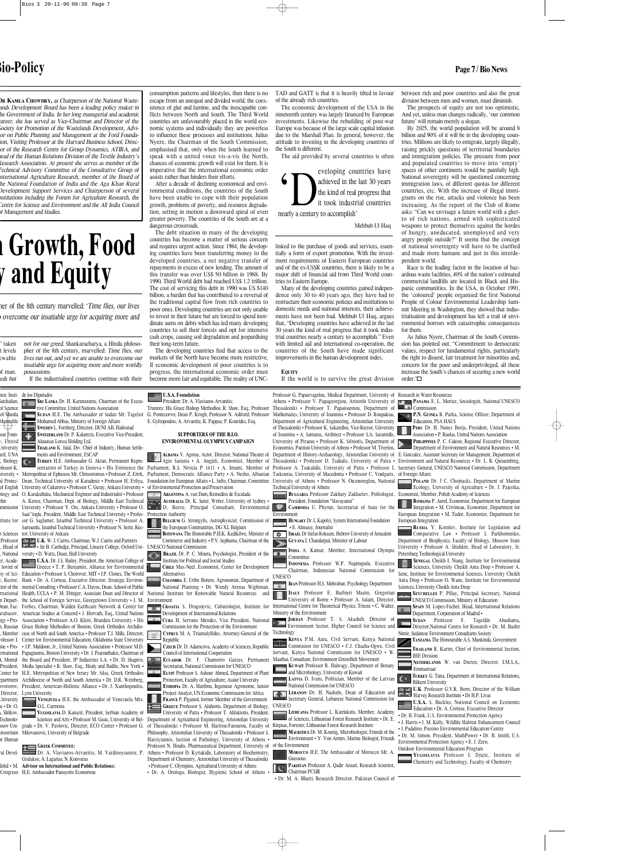### **Bio-Policy Page 7 / Bio News**

t levels ewable of man. eds but

' taken not for our greed. Shankaracharya, a Hindu philosopher of the 8th century, marvelled: Time flies, our lives run out, and yet we are unable to overcome our insatiable urge for acquiring more and more worldly possessions.

If the industrialised countries continue with their

consumption patterns and lifestyles, then there is no escape from an unequal and divided world, the coexistence of glut and famine, and the inescapable conflicts between North and South. The Third World countries are unfavourably placed in the world economic systems and individually they are powerless to influence these processes and institutions. Julius Nyere, the Chairman of the South Commission, emphasised that, only when the South learned to speak with a united voice vis-a-vis the North, chances of economic growth will exist for them. It is imperative that the international economic order assists rather than hinders their efforts.

After a decade of declining economical and environmental conditions, the countries of the South have been unable to cope with their population growth, problems of poverty, and resource degradation, setting in motion a downward spiral of even greater poverty. The countries of the South are at a dangerous crossroads.

The debt situation in many of the developing countries has become a matter of serious concern and requires urgent action. Since 1984, the developing countries have been transferring money to the developed countries, a net negative transfer of repayments in excess of new lending. The amount of this transfer was over US\$ 50 billion in 1988. By 1990, Third World debt had reached US\$ 1.2 trillion. The cost of servicing this debt in 1990 was US \$140 billion, a burden that has contributed to a reversal of the traditional capital flow from rich countries to poor ones. Developing countries are not only unable to invest in their future but are forced to spend inordinate sums on debts which has led many developing countries to sell their forests and opt for intensive cash crops, causing soil degradation and jeopardising their long-term future.

The developing countries find that access to the markets of the North have become more restrictive. If economic development of poor countries is to progress, the international economic order must become more fair and equitable. The reality of UNC-

TAD and GATT is that it is heavily tilted in favour of the already rich countries.

The economic development of the USA in the nineteenth century was largely financed by European investments. Likewise the rebuilding of post-war Europe was because of the large scale capital infusion due to the Marshall Plan. In general, however, the attitude to investing in the developing countries of the South is different.

The aid provided by several countries is often

linked to the purchase of goods and services, essentially a form of export promotion. With the investment requirements of Eastern European countries and of the ex-USSR countries, there is likely to be a major shift of financial aid from Third World countries to Eastern Europe.

nce Instiiatchalian, of Science of Manila Mar<del>i</del>nelife oat Founy, United **Jniversity** ard, UNA g, Biology ofessor K.

Many of the developing countries gained independence only 30 to 40 years ago, they have had to restructure their economic policies and institutions to domestic needs and national interests, their achievements have not been bad. Mehbub Ul Haq, argues that, "Developing countries have achieved in the last 30 years the kind of real progress that it took industrial countries nearly a century to accomplish." Even with limited aid and international co-operation, the countries of the South have made significant improvements in the human development index.

blogy and O. Karakulluku, Mechanical Engineer and Industrialist • Professor blin ommission

titute for sor G. Saglamer, Istanbul Technical University • Professor A. n Sciences tor, University of Ankara University • Professor Y. Ors, Ankara University • Professor O. Samsunlu, Istanbul Technical University • Professor N. Serin, Rec-

 Soviet of ny of Sci- Education • Professor S. Chorover, MIT • J.P. Clones, The World l, Rector, Bank • Dr. A. Cortese, Executive Director, Strategic Environctor of the mental Consulting • Professor C.A. Davos, Dean, School of Public rnational Health, UCLA • P. M. Ebinger, Associate Dean and Director of **U.S.A**. Dr. J.S. Bailey, President, the American College of Greece • T. P. Benjamin, Alliance for Environmental **EQUITY**

If the world is to survive the great division

Athens • Professor V. Papageorgiou, Aristotle University of Thessaloniki • Professor T. Papaioannou, Department of Department of Agricultural Engineering, Aristotelian University of Thessaloniki • Professor K. Sakarellos, Vice-Rector, University of Ioannina • A. Samaras, Architect • Professor S.A. Sarantidis, University of Piraeus • Professor K. Sifniotis, Department of Economics, Pantion University of Athens • Professor M. Tiverios, between rich and poor countries and also the great division between men and women, must diminish.

The prospects of equity are not too optimistic. And yet, unless man changes radically, 'our common future' will remain merely a slogan.

By 2025, the world population will be around 8 billion and 90% of it will be in the developing countries. Millions are likely to emigrate, largely illegally, raising prickly questions of territorial boundaries and immigration policies. The pressure from poor and populated countries to move into 'empty' spaces of other continents would be painfully high. National sovereignty will be questioned concerning immigration laws, of different quotas for different countries, etc. With the increase of illegal immigrants on the rise, attacks and violence has been increasing. As the report of the Club of Rome asks: "Can we envisage a future world with a ghetto of rich nations, armed with sophisticated weapons to protect themselves against the hordes of hungry, uneducated, unemployed and very angry people outside?" It seems that the concept of national sovereignty will have to be clarified and made more humane and just in this interdependent world.

Race is the leading factor in the location of hazardous waste facilities, 40% of the nation's estimated commercial landfills are located in Black and Hispanic communities. In the USA, in October 1991, the 'coloured' people organised the first National People of Colour Environmental Leadership Summit Meeting in Washington, they showed that industrialisation and development has left a trail of environmental horrors with catastrophic consequences for them.

As Julius Nyere, Chairman of the South Commission has pointed out, "Commitment to democratic values, respect for fundamental rights, particularly the right to dissent, fair treatment for minorities and, concern for the poor and underprivileged, all these increase the South's chances of securing a new world order."

Saat lioglu, President, Middle East Technical University • Profes- Protection Authority **BELGIUM** G. Strongylis, Astrophysicist, Commission of the European Communities, DG XI, Belgium

• Sir B. Cartledge, Principal, Linacre College, Oxford Uni- UNESCO National Commission **BOTSWANA** The Honorable P.H.K. Kedikilwe, Minister of  $\parallel \mathbf{\hat{x}} \parallel$  **ISRAEL** Dr Stefan Rokeam, Hebrew University of Jerusalem Commerce and Industry • P.V. Sephuma, Chairman of the

# **n Growth, Food y and Equity**

**DR KAMLA CHOWDRY,** as Chairperson of the National Wasteands Development Board has been a leading policy maker in he Government of India. In her long managerial and academic career, she has served as Vice-Chairman and Director of the Society for Promotion of the Wastelands Development, Advior on Public Planning and Management at the Ford Foundation, Visiting Professor at the Harvard Business School, Direcor of the Research Centre for Group Dynamics, ATIRA, and head of the Human Relations Division of the Textile Industry's Research Association. At present she serves as member of the Technical Advisory Committee of the Consultative Group of International Agriculture Research, member of the Board of he National Foundation of India and the Aga Khan Rural Development Support Services and Chairperson of several institutions including the Forum for Agriculture Research, the Centre for Science and Environment and the All India Council of Management and Studies.

> **BULGARIA** Professor Zakhary Zakhariev, Politologist, Economist, Member, Polish Academy of Sciences POLAND Dr. J C. Chojnacki, Department of Marine Ecology, University of Agriculture • Dr. J. Pajestka.

de los Diputados

.

**SRI LANKA** Dr. H. Karunaratne, Chairman of the Execu-

tive Committee, United Nations Association

Mohamed Abbas, Ministry of Foreign Affairs **SWEDEN** L. Forsberg, Director, DUNI AB, Halmstad **SWITZERLAND** Dr. P. Kalantzis, Executive Vice-President,

Alusuisse Lonza Holding Ltd.

**THAILAND** K. Jalal, Div. Chief of Industry, Human Settle-

 Professor . Head of , National versity • D. Watts, Dean, Hull University er, Acade- **U.K**. W. J. Cairns, Chairman, W.J. Cairns and Partners

ments and Environment, ESCAP

**TURKEY** H.E. Ambassador G. Aktan, Permanent Repre-

A. Kence, Chairman, Dept. of Biology, Middle East Technical

**RUSSIA** Y. Korolev, Institute for Legislation and Comparative Law • Professor I. Parkhomenko, Department of Biophysics, Faculty of Biology, Moscow State University • Professor A. Shishkin, Head of Laboratory, St. Petersburg Technological University

• Dr. M. A. Bhatti, Research Director, Pakistan Council of

**SUDAN** H.E. The Ambassador of Sudan Mr. Tagelsir Trustees: His Grace Bishop Methodios; R. Shaw, Esq.; Professor G. Pontecorvo; Dean P. Krogh; Professor N. Ashford; Professor Mathematics, University of Ioannina • Professor D. Roupakias, E. Gyftopoulos; A. Arvanitis; K. Pappas; P. Kourides, Esq.

|                  | rnational Health, UCLA • P. M. Ebinger, Associate Dean and Director of National Institute for Renewable Natural Resources and                                                    |        |                                                                     | <b>ITALY</b> Professor E. Barbieri Masini, Gregorian                                                    | <b>SEYCHELLES</b> P. Pillay, Principal Secretary, National          |
|------------------|----------------------------------------------------------------------------------------------------------------------------------------------------------------------------------|--------|---------------------------------------------------------------------|---------------------------------------------------------------------------------------------------------|---------------------------------------------------------------------|
|                  | n Depart- the School of Foreign Service, Georgetown University • J. M. Environment                                                                                               |        |                                                                     | University of Rome • Professor A. Salam, Director,                                                      | UNESCO Commission, Ministry of Education                            |
|                  | Dean, Fac- Forbes, Chairman, Walden Earthcare Network & Center for                                                                                                               |        | <b>CROATIA</b> S. Dragojevic, Culturologist, Institute for          | International Centre for Theoretical Physics, Trieste • C. Walter, ■                                    | <b>SPAIN</b> M. Lopez-Fuchet, Head, International Relations         |
|                  | arabasov, American Studies at Concord • J. Horvath, Esq., United Nations                                                                                                         |        | Development of International Relations                              | Ministry of the Environment                                                                             | Department, Corporation of Madrid •                                 |
|                  | pgy • Pro- Association • Professor A.O. Klein, Brandeis University • His                                                                                                         |        | CUBA H. Serrano Mendez, Vice President, National                    | JORDAN Professor T. S. Akasheh, Director of                                                             | SUDAN Professor F. Tageldin<br>Abushama,                            |
|                  | 1, Russian Grace Bishop Methodios of Boston, Greek Orthodox Archdio-                                                                                                             |        | Commission for the Protection of the Environment                    | Environment Sector, Higher Council for Science and                                                      | Director, National Centre for Research • Dr. M. Bashir              |
|                  | Member cese of North and South America • Professor T.J. Mills, Director,                                                                                                         |        | <b>CYPRUS</b> M. A. Triantafyllides, Attorney-General of the        | Technology                                                                                              | Nimir, Sudanese Environment Consultants Society                     |
|                  | rofessor I. Center for Environmental Education, Oklahoma State University                                                                                                        |        | Republic                                                            | KENYA P.M. Aura, Civil Servant, Kenya National <b>TANZANIA</b> The Honourable A.S. Mankinda, Government |                                                                     |
|                  | ine • Pro- • J.P. Muldoon, Jr., United Nations Association • Professor M.D.                                                                                                      |        | С <b>ZECH</b> Dr. D. Adamcova, Academy of Sciences, Republic        | Commision for UNESCO . C.J. Chacha-Ogwe, Civil                                                          | <b>THAILAND R. Karim, Chief of Environmental Section,</b>           |
|                  | ernational Papagiannis, Boston University • Dr. J. Psarouthakis, Chairman of                                                                                                     |        | Council of International Cooperation                                | Servant, Kenya National Commission for UNESCO $\cdot$ W.                                                | <b>IHE Division</b>                                                 |
|                  | A. Momd- the Board and President, JP Industries S.A. • Dr. D. Shapiro, $\Box$                                                                                                    |        | ECUADOR Dr. F. Chamorro Garces, Permanent                           | Maathai, Consultant, Environment GreenBelt Movement                                                     | NETHERLANDS W. van Dieren, Director, I.M.S.A.,                      |
|                  | President, Media Specialist • R. Shaw, Esq., Healy and Baillie, New York •                                                                                                       |        | Secretariat, National Commission for UNESCO                         | <b>KUWAIT</b> Professor R. Halwagy, Department of Botany                                                | Emmastraat                                                          |
|                  | Center for H.E. Metropolitan of New Jersey Mr. Silas, Greek Orthodox                                                                                                             |        | <b>EGYPt</b> Professor S. Ashour Ahmed, Department of Plant         | and Microbiology, University of Kuwait                                                                  | <b>TURKEY G. Tuna, Department of International Relations,</b>       |
|                  | epartment Archdiocese of North and South America • Dr. D.R. Weinberg,                                                                                                            |        | Protection, Faculty of Agriculture, Assiut University               | LATVIA D. Ivans, Politician, Member of the Latvian                                                      | <b>Bilkent University</b>                                           |
|                  | ovotorov, President, American-Hellenic Alliance • Dr. J. Xanthopoulos,                                                                                                           |        | ETHIOPIA Dr. A. Haribou, Ingenieur Agronome, Senior                 | National Commission for UNESCO                                                                          | <b>EXECUTE:</b> U.K. Professor G.V.R. Born, Director of the William |
|                  | Director, Lynn University                                                                                                                                                        |        | Project Analyst, UN Economic Commission for Africa                  | LEBANON Dr. H. Nashabt, Dean of Education and                                                           | <b>EXILES</b> Harvey Research Institute • Dr H.P. Livas             |
| University ∎     | VENEZUELA H.E. the Ambassador of Venezuela Mrs.                                                                                                                                  |        | <b>FRANCE P.</b> Piganiol, former Member of the Government          | Secretary General, Lebanese National Commission for                                                     | <b>U.S.A.</b> S. Buckles, National Council on Economic              |
| $e \cdot Dr. O.$ | O.L. Carmona                                                                                                                                                                     | $\sim$ | <b>GREECE Professor S. Alahiotis, Department of Biology, UNESCO</b> |                                                                                                         | Education • Dr. A. Cortese, Executive Director                      |
| . Shlikov,       | YUGOSLAVIA D. Kanazir, President, Serbian Academy of                                                                                                                             |        | University of Patra • Professor T. Alifakiotis, President,          | LITHUANIA Professor L. Kairiukstis, Member, Academy                                                     | • Dr. B. Frank, U.S. Environmental Protection Agency                |
| Fechnolo-        | Sciences and Arts • Professor M. Gasic, University of Bel-                                                                                                                       |        | Department of Agricultural Engineering, Aristotelian University     | of Sciences, Lithuanian Forest Research Institute • Dr. E.                                              | • J. Harris • J. M. Kelly, Wildlife Habitat Enhancement Council     |
| osov Uni-        | grade · Dr. V. Pavlovic, Director, ECO Center · Professor G. of Thessaloniki · Professor M. Haritou-Fatourou, Faculty of Riepsas, Forester, Lithuanian Forest Research Institute |        |                                                                     |                                                                                                         | • J. Padalino, Pocono Environmental Education Centre                |
|                  | pnsortium Milovanovic, University of Belgrade                                                                                                                                    |        | Philosophy, Aristotelian University of Thessaloniki • Professor S.  | <b>MAURITIUS</b> Dr. M. Koenig, Microbiologist, Friends of the                                          | • Dr. M. Simon, President, MathPower • Dr. B. Smith, U.S.           |
| or Human         |                                                                                                                                                                                  |        | Hatziviannis, Section of Pathology, University of Athens •          | Environment • Y. Von Arnim, Marine Biologist, Friends                                                   | Environmental Protection Agency · E. J. Zero,                       |
|                  | <b>GREEK COMMITTEE:</b>                                                                                                                                                          |        | Professor N. Houlis, Pharmaceutical Department, University of       | of the Environment                                                                                      | Outdoor Environmental Education Program                             |
|                  | ral Devel- <b>Election</b> Dr. A. Vlavianos-Arvanitis; M. Vardinoyiannis; P. Athens • Professor D. Kyriakidis, Laboratory of Biochemistry,                                       |        |                                                                     | MOROCCO H.E. The Ambassador of Morocco Mr. A.                                                           | YUGOSLAVIA Professor I. Djujic, Institute of                        |
|                  | Grafakos; A. Lagarias; N. Kouvaras                                                                                                                                               |        | Department of Chemistry, Aristotelian University of Thessaloniki    | Guessous                                                                                                | Chemistry and Technology, Faculty of Chemistry                      |
| dolid • M.       | <b>Advisor on International and Public Relations:</b>                                                                                                                            |        | • Professor C. Olympios, Agricultural University of Athens          | PAKISTAN Professor A. Qadir Ansari, Research Scientist,                                                 |                                                                     |
|                  | Congreso H.E. Ambassador Panayotis Economou                                                                                                                                      |        | • Dr. A. Orologa, Biologist, Hygienic School of Athens              | Chairman PCSIR                                                                                          |                                                                     |

eveloping countries have<br>
achieved in the last 30 years<br>
the kind of real progress that<br>
it took industrial countries<br>
nearly a century to accomplish' achieved in the last 30 years the kind of real progress that it took industrial countries nearly a century to accomplish'

#### **U.S.A. Foundation** President: Dr. A. Vlavianos Arvanitis;

#### **SUPPORTERS OF THE B.I.O. ENVIRONMENTAL OLYMPICS CAMPAIGN**

iversity • Metropolitan of Ephessos Mr. Chrisostomos • Professor Z. Ertrk, Parliament, Democratic Alliance Party • A. Nesho, Albanian Tsekouras, University of Macedonia • Professor C. Voulgaris, of Foreign Affairs al Protec- Dean, Technical University of Karadeniz • Professor H. Evliya, Foundation for European Affairs • L. Selfo, Chairman, Committee University of Athens • Professor N. Ouzounoglou, National of English University of Cukurova • Professor C. Geray, Ankara University • of Environmental Protection and Preservation sentation of Turkey in Geneva • His Eminence the Parliament, R.S. Nivicia P 1411 • A. Imami, Member of Professor A. Tsakalidis, University of Patra • Professor I. Secretary General, UNESCO National Commission, Department

> **BRAZIL** Dr. P. C. Moura, Psychologist, President of the ∾ Institute for Political and Social Studies **CHILE** Max-Neef, Economist, Center for Development

Alternatives **COLOMBIA** E. Uribe Botero, Agronomist, Department of

National Planning • Dr. Wendy Arenas Wightman,

**ARGENTINA** A. van Dam, Remedios de Escalada **AUSTRALIA** Dr. K. Suter, Writer, University of Sydney ñ  $\bullet$ D. Reeve, Principal Consultant, Environmental Environment

Technical University of Athens

**Committee** 

**UNESCO** 

 $\rightarrow$ F President, Foundation "Slavayanni"

**HUNGARY** Dr. L Kapolyi, System International Foundation

**GUYANA** I. Chandarpal, Minister of Labour

• E. Almassy, Journalist

**INDIA** A. Kumar, Member, International Olympic

**INDONESIA** Professor W.P. Napitupulu, Executive Chairman, Indonesian National Commission for

Professor G. Papaevagelou, Medical Department, University of Research in Water Resources

**IRAN** Professor H.S. Mehraban, Psychology Department **ITALY** Professor E. Barbieri Masini, Gregorian

**CAMBODIA** U. Phyrun, Secretariat of State for the **ROMANIA** P. Aurel, Economist, Department for European Integration • M. Crivineau, Economist, Department for European Integration • M. Tudor, Economist, Department for European Integration

**PANAMA** E. L. Morice, Sociologist, National UNESCO

**PERU Dr. H. Nunez Borja, President, United Nations** Association • P. Ruelas, United Nations Association

ALBANIA V. Agoras, Actor, Director, National Theater of Department of History-Archaeology, Aristotelian University of E. Gonzalez, Assistant Secretary for Management, Department of Agio Saranta • A. Angjeli, Economist, Member of Thessaloniki • Professor D. Tsahalis, University of Patra • Environment and Natural Resources • Dr. L. R. Quisumbing, **PHILIPPINES** P. C. Caleon, Regional Executive Director, Department of Environment and Natural Resources • M.

Commission **P.N. GUINEA** R. Parka, Science Officer, Department of Education, PSA HAUS

**SENEGAL** Cheikh I. Niang, Institute for Environmental Sciences, University Cheikh Anta Diop • Professor A. Sene, Institute for Environmental Sciences, University Cheikh Anta Diop • Professor O. Wane, Institute for Environmental Sciences, University Cheikh Anta Diop

**SEYCHELLES** P. Pillay, Principal Secretary, National

#### Mehbub Ul Haq

her of the 8th century marvelled: 'Time flies, our lives o overcome our insatiable urge for acquiring more and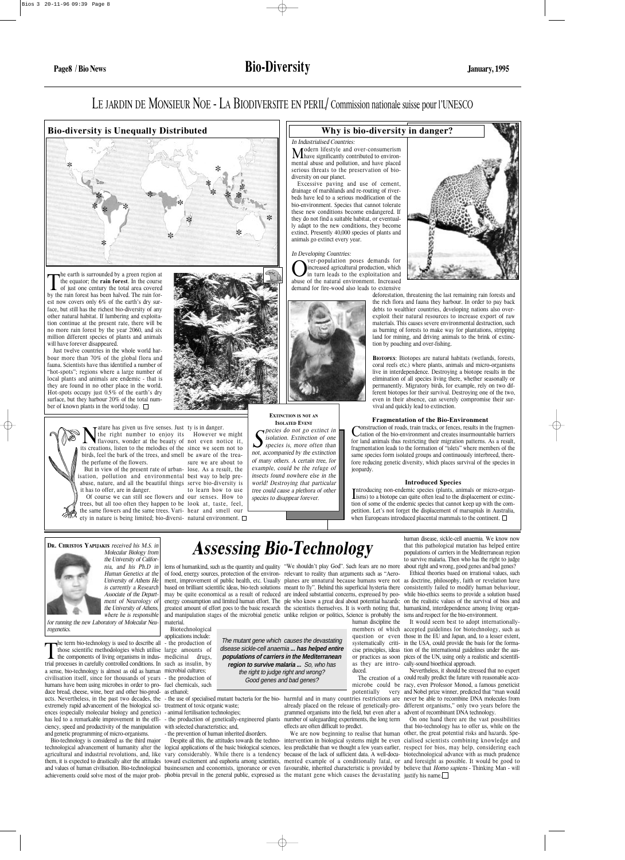## **Page8 / Bio News Bio-Diversity January, 1995**

In Industrialised Countries:

diversity on our planet.

animals go extinct every year.

In Developing Countries:

deforestation, threatening the last remaining rain forests and the rich flora and fauna they harbour. In order to pay back debts to wealthier countries, developing nations also overexploit their natural resources to increase export of raw materials. This causes severe environmental destruction, such as burning of forests to make way for plantations, stripping land for mining, and driving animals to the brink of extinction by poaching and over-fishing.

**BIOTOPES**: Biotopes are natural habitats (wetlands, forests, coral reefs etc.) where plants, animals and micro-organisms live in interdependence. Destroying a biotope results in the elimination of all species living there, whether seasonally or permanently. Migratory birds, for example, rely on two different biotopes for their survival. Destroying one of the two, even in their absence, can severely compromise their survival and quickly lead to extinction.

#### **Fragmentation of the Bio-Environment**

Construction of roads, train tracks, or fences, results in the fragmen-tation of the bio-environment and creates insurmountable barriers for land animals thus restricting their migration patterns. As a result, fragmentation leads to the formation of "islets" where members of the same species form isolated groups and continuously interbreed, therefore reducing genetic diversity, which places survival of the species in jeopardy.

#### **Introduced Species**

Introducing non-endemic species (plants, animals or micro-organ-<br>Isms) to a biotope can quite often lead to the displacement or extincntroducing non-endemic species (plants, animals or micro-organtion of some of the endemic species that cannot keep up with the competition. Let's not forget the displacement of marsupials in Australia, when Europeans introduced placental mammals to the continent.  $\Box$ 

has led to a remarkable improvement in the effi- - the production of genetically-engineered plants number of safeguarding experiments, the long term On one hand there are the vast possibilities effects are often difficult to predict.

extremely rapid advancement of the biological sci-treatment of toxic organic waste; ences (especially molecular biology and genetics) - animal fertilisation technologies; ciency, speed and productivity of the manipulation with selected characteristics; and, and genetic programming of micro-organisms.

ucts. Nevertheless, in the past two decades, the - the use of specialised mutant bacteria for the bio-harmful and in many countries restrictions are never be able to recombine DNA molecules from already placed on the release of genetically-pro-different organisms," only two years before the grammed organisms into the field, but even after a advent of recombinant DNA technology.

material.

#### Biotechnological applications include:

The term bio-technology is used to describe all<br>those scientific methodologies which utilise<br>the components of living organisms in indus-<br>trial processes in contably controlled conditions. those scientific methodologies which utilise large amounts of the components of living organisms in indus-medicinal drugs, trial processes in carefully controlled conditions. In such as insulin, by a sense, bio-technology is almost as old as human microbial cultures; civilisation itself, since for thousands of years - the production of humans have been using microbes in order to pro-fuel chemicals, such duce bread, cheese, wine, beer and other bio-prod-as ethanol; - the term bio-technology is used to describe all - the production of

The earth is surrounded by a green region at<br>the equator; the **rain forest**. In the course<br>of just one century the total area covered<br>by the rain forest hee been helyed. The rain for the equator; the **rain forest**. In the course by the rain forest has been halved. The rain forest now covers only 6% of the earth's dry surface, but still has the richest bio-diversity of any other natural habitat. If lumbering and exploitation continue at the present rate, there will be no more rain forest by the year 2060, and six million different species of plants and animals will have forever disappeared.

of food, energy sources, protection of the environ-relevant to reality than arguments such as "Aero-

- the prevention of human inherited disorders.



lems of humankind, such as the quantity and quality "We shouldn't play God". Such fears are no more about right and wrong, good genes and bad genes?

ment, improvement of public health, etc. Usually planes are unnatural because humans were not as doctrine, philosophy, faith or revelation have based on brilliant scientific ideas, bio-tech solutions meant to fly". Behind this superficial hysteria there consistently failed to modify human behaviour, may be quite economical as a result of reduced are indeed substantial concerns, expressed by peo-while bio-ethics seems to provide a solution based energy consumption and limited human effort. The ple who know a great deal about potential hazards: on the realistic values of the survival of bios and greatest amount of effort goes to the basic research the scientists themselves. It is worth noting that, humankind, interdependence among living organand manipulation stages of the microbial genetic unlike religion or politics, Science is probably the isms and respect for the bio-environment. Ethical theories based on irrational values, such

Nature has given us five senses. Just<br>the right number to enjoy its<br>flavours, wonder at the beauty of the right number to enjoy its flavours, wonder at the beauty of its creations, listen to the melodies of the since we seem not to birds, feel the bark of the trees, and smell be aware of the treathe perfume of the flowers. But in view of the present rate of urban-lose. As a result, the isation, pollution and environmental best way to help preabuse, nature, and all the beautiful things serve bio-diversity is ty is in danger. However we might not even notice it, sure we are about to

Bio-technology is considered as the third major achievements could solve most of the major prob-phobia prevail in the general public, expressed as the mutant gene which causes the devastating justify his name.

human discipline the It would seem best to adopt internationallymembers of which accepted guidelines for biotechnology, such as question or even those in the EU and Japan, and, to a lesser extent, systematically criti-in the USA, could provide the basis for the formacise principles, ideas tion of the international guidelines under the ausor practices as soon pices of the UN, using only a realistic and scientifias they are intro-cally-sound bioethical approach.

human disease, sickle-cell anaemia. We know now that this pathological mutation has helped entire populations of carriers in the Mediterranean region to survive malaria. Then who has the right to judge

duced. The creation of a could really predict the future with reasonable accumicrobe could be racy, even Professor Monod, a famous geneticist potentially very and Nobel prize winner, predicted that "man would Nevertheless, it should be stressed that no expert

that bio-technology has to offer us, while on the

technological advancement of humanity after the logical applications of the basic biological sciences, less predictable than we thought a few years earlier, respect for bios, may help, considering each agricultural and industrial revolutions, and, like vary considerably. While there is a tendency because of the lack of sufficient data. A well-docu-biotechnological advance with as much prudence them, it is expected to drastically alter the attitudes toward excitement and euphoria among scientists, mented example of a conditionally fatal, or and foresight as possible. It would be good to and values of human civilisation. Bio-technological businessmen and economists, ignorance or even favourable, inherited characteristic is provided by believe that Homo sapiens - Thinking Man - will Despite all this, the attitudes towards the techno-intervention in biological systems might be even cialised scientists combining knowledge and We are now beginning to realise that human other, the great potential risks and hazards. Spe-

## **Assessing Bio-Technology**

**Bio-diversity is Unequally Distributed** 

Just twelve countries in the whole world harbour more than 70% of the global flora and fauna. Scientists have thus identified a number of "hot-spots"; regions where a large number of local plants and animals are endemic - that is they are found in no other place in the world. Hot-spots occupy just 0.5% of the earth's dry surface, but they harbour 20% of the total number of known plants in the world today.



### **DR. CHRISTOS YAPIJAKIS** received his M.S. in

Molecular Biology from the University of California, and his Ph.D in Human Genetics at the University of Athens He is currently a Research Associate of the Depart-



for running the new Laboratory of Molecular Neurogenetics.

> The mutant gene which causes the devastating disease sickle-cell anaemia **... has helped entire populations of carriers in the Mediterranean region to survive malaria ...** So, who has the right to judge right and wrong? Good genes and bad genes?

## LE JARDIN DE MONSIEUR NOE - LA BIODIVERSITE EN PERIL/ Commission nationale suisse pour l'UNESCO

it has to offer, are in danger. Of course we can still see flowers and our senses. How to trees, but all too often they happen to be look at, taste, feel, the same flowers and the same trees. Vari-hear and smell our ety in nature is being limited; bio-diversi-natural environment. to learn how to use **EXTINCTION IS NOT AN**

**ISOLATED EVENT** S  $\rightarrow$  pecies do not go extinct in  $\mid$ isolation. Extinction of one species is, more often than not, accompanied by the extinction of many others. A certain tree, for example, could be the refuge of insects found nowhere else in the world! Destroying that particular tree could cause a plethora of other

species to disappear forever.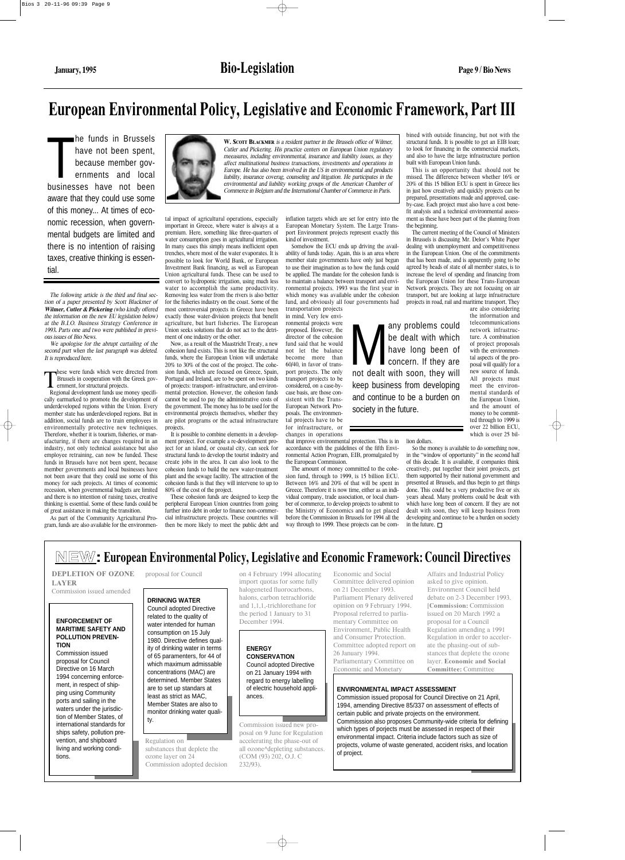The following article is the third and final section of a paper presented by Scott Blackmer of **Wilmer, Cutler & Pickering** (who kindly offered the information on the new EU legislation below) at the B.I.O. Business Strategy Conference in 1993**.** Parts one and two were published in previous issues of Bio News.

These were funds which were directed from<br>Brussels in cooperation with the Greek gov-<br>ernment, for structural projects. Brussels in cooperation with the Greek government, for structural projects.

We apologise for the abrupt curtailing of the second part when the last paragraph was deleted. It is reproduced here.

Regional development funds use money specifically earmarked to promote the development of underdeveloped regions within the Union. Every member state has underdeveloped regions. But in addition, social funds are to train employees in environmentally protective new techniques. Therefore, whether it is tourism, fisheries, or manufacturing, if there are changes required in an industry, not only technical assistance but also employee retraining, can now be funded. These funds in Brussels have not been spent, because member governments and local businesses have not been aware that they could use some of this money for such projects. At times of economic recession, when governmental budgets are limited and there is no intention of raising taxes, creative thinking is essential. Some of these funds could be of great assistance in making the transition.

As part of the Community Agricultural Program, funds are also available for the environmen-



tal impact of agricultural operations, especially important in Greece, where water is always at a premium. Here, something like three-quarters of water consumption goes in agricultural irrigation. In many cases this simply means inefficient open trenches, where most of the water evaporates. It is possible to look for World Bank, or European Investment Bank financing, as well as European Union agricultural funds. These can be used to convert to hydroponic irrigation, using much less water to accomplish the same productivity. Removing less water from the rivers is also better for the fisheries industry on the coast. Some of the most controversial projects in Greece have been exactly those water-division projects that benefit agriculture, but hurt fisheries. The European Union seeks solutions that do not act to the detriment of one industry or the other.

Now, as a result of the Maastricht Treaty, a new cohesion fund exists. This is not like the structural funds, where the European Union will undertake 20% to 30% of the cost of the project. The cohesion funds, which are focused on Greece, Spain, Portugal and Ireland, are to be spent on two kinds of projects: transport- infrastructure, and environmental protection. However, the cohesion funds cannot be used to pay the administrative costs of the government. The money has to be used for the environmental projects themselves, whether they are pilot programs or the actual infrastructure projects.

It is possible to combine elements in a development project. For example a re-development project for an island, or coastal city, can seek for structural funds to develop the tourist industry and create jobs in the area. It can also look to the cohesion funds to build the new water-treatment plant and the sewage facility. The attraction of the cohesion funds is that they will intervene to up to 80% of the cost of the project.

So the money is available to do something now, in the "window of opportunity" in the second half of this decade. It is available, if companies think creatively, put together their joint projects, get them supported by their national government and presented at Brussels, and thus begin to get things done. This could be a very productive five or six years ahead. Many problems could be dealt with which have long been of concern. If they are not dealt with soon, they will keep business from developing and continue to be a burden on society in the future.  $\Box$ 

These cohesion funds are designed to keep the peripheral European Union countries from going further into debt in order to finance non-commercial infrastructure projects. These countries will then be more likely to meet the public debt and inflation targets which are set for entry into the European Monetary System. The Large Transport Environment projects represent exactly this kind of investment.

Somehow the ECU ends up driving the availability of funds today. Again, this is an area where member state governments have only just begun to use their imagination as to how the funds could be applied. The mandate for the cohesion funds is to maintain a balance between transport and environmental projects. 1993 was the first year in which money was available under the cohesion fund, and obviously all four governments had transportation projects

in mind. Very few environmental projects were proposed. However, the director of the cohesion fund said that he would not let the balance become more than 60/40, in favor of transport projects. The only transport projects to be considered, on a case-bycase basis, are those consistent with the Trans-European Network Proposals. The environmental projects have to be for infrastructure, or changes in operations

that improve environmental protection. This is in accordance with the guidelines of the fifth Environmental Action Program, EIB, promulgated by the European Commission.

The amount of money committed to the cohesion fund, through to 1999, is 15 billion ECU. Between 16% and 20% of that will be spent in Greece. Therefore it is now time, either as an individual company, trade association, or local chamber of commerce, to develop projects to submit to the Ministry of Economics and to get placed before the Commission in Brussels for 1994 all the way through to 1999. These projects can be com-

 $\frac{1}{\frac{1}{\frac{1}{\sqrt{1-\frac{1}{\sqrt{1-\frac{1}{\sqrt{1-\frac{1}{\sqrt{1-\frac{1}{\sqrt{1-\frac{1}{\sqrt{1-\frac{1}{\sqrt{1-\frac{1}{\sqrt{1-\frac{1}{\sqrt{1-\frac{1}{\sqrt{1-\frac{1}{\sqrt{1-\frac{1}{\sqrt{1-\frac{1}{\sqrt{1-\frac{1}{\sqrt{1-\frac{1}{\sqrt{1-\frac{1}{\sqrt{1-\frac{1}{\sqrt{1-\frac{1}{\sqrt{1-\frac{1}{\sqrt{1-\frac{1}{\sqrt{1-\frac{1}{\sqrt{1-\frac{1}{\sqrt{1-\frac{1}{\sqrt{1-\frac{$ he funds in Brussels have not been spent, because member governments and local businesses have not been aware that they could use some of this money... At times of economic recession, when governmental budgets are limited and there is no intention of raising taxes, creative thinking is essential.

> any problems could<br>be dealt with which<br>have long been of<br>concern. If they are be dealt with which have long been of **V** concern. If they are not dealt with soon, they will keep business from developing and continue to be a burden on society in the future.

bined with outside financing, but not with the structural funds. It is possible to get an EIB loan; to look for financing in the commercial markets, and also to have the large infrastructure portion built with European Union funds.

This is an opportunity that should not be missed. The difference between whether 16% or 20% of this 15 billion ECU is spent in Greece lies in just how creatively and quickly projects can be prepared, presentations made and approved, caseby-case. Each project must also have a cost benefit analysis and a technical environmental assessment as these have been part of the planning from the beginning.

The current meeting of the Council of Ministers in Brussels is discussing Mr. Delor's White Paper dealing with unemployment and competitiveness in the European Union. One of the commitments that has been made, and is apparently going to be agreed by heads of state of all member states, is to increase the level of spending and financing from the European Union for these Trans-European Network projects. They are not focusing on air transport, but are looking at large infrastructure projects in road, rail and maritime transport. They are also considering

> the information and telecommunications network infrastructure. A combination of project proposals with the environmental aspects of the proposal will qualify for a new source of funds. All projects must meet the environmental standards of the European Union, and the amount of money to be committed through to 1999 is over 22 billion ECU, which is over 25 bil-

lion dollars.

## **January, 1995 Bio-Legislation Page 9 / Bio News**

## **European Environmental Policy, Legislative and Economic Framework, Part III**

**DEPLETION OF OZONE LAYER** Commission issued amended

proposal for Council

Regulation on substances that deplete the ozone layer on 24 Commission adopted decision on 4 February 1994 allocating import quotas for some fully halogeneted fluorocarbons,

halons, carbon tetrachloride and 1,1,1,-trichlorethane for the period 1 January to 31 December 1994.

Commission issued new proposal on 9 June for Regulation accelerating the phase-out of all ozone^depleting substances. (COM (93) 202, O.J. C 232/93).

Economic and Social Committee delivered opinion on 21 December 1993.

Parliament Plenary delivered opinion on 9 February 1994. Proposal referred to parliamentary Committee on Environment, Public Health and Consumer Protection. Committee adopted report on 26 January 1994. Parliamentary Committee on Economic and Monetary

Affairs and Industrial Policy asked to give opinion. Environment Council held

debate on 2-3 December 1993. [**Commission:** Commission issued on 20 March 1992 a proposal for a Council Regulation amending a 1991 Regulation in order to accelerate the phasing-out of substances that deplete the ozone layer. **Economic and Social Committee:** Committee

## NEW**:European Environmental Policy, Legislative and Economic Framework: Council Directives**

#### **ENFORCEMENT OF MARITIME SAFETY AND POLLUTION PREVEN-TION**

Commission issued proposal for Council Directive on 16 March 1994 concerning enforcement, in respect of shipping using Community ports and sailing in the waters under the jurisdiction of Member States, of international standards for ships safety, pollution prevention, and shipboard living and working conditions.

**ENERGY CONSERVATION** Council adopted Directive on 21 January 1994 with regard to energy labelling of electric household appliances.

**DRINKING WATER** Council adopted Directive related to the quality of water intended for human

consumption on 15 July 1980. Directive defines quality of drinking water in terms of 65 paramenters, for 44 of which maximum admissable concentrations (MAC) are determined. Member States are to set up standars at least as strict as MAC, Member States are also to monitor drinking water quality.

#### **ENVIRONMENTAL IMPACT ASSESSMENT**

Commission issued proposal for Council Directive on 21 April, 1994, amending Directive 85/337 on assessment of effects of certain public and private projects on the environment. Commisssion also proposes Community-wide criteria for defining which types of porjects must be assessed in respect of their environmental impact. Criteria include factors such as size of projects, volume of waste generated, accident risks, and location of project.

**W. SCOTT BLACKMER** is a resident partner in the Brussels office of Wilmer, Cutler and Pickering. His practice centers on European Union regulatory meeasures, including environmental, insurance and liability issues, as they affect multinational business transactions, investments and operations in Europe. He has also been involved in the US in environmental and products liability, insurance coverag, counseling and litigation. He participates in the environmental and liability working groups of the American Chamber of Commerce in Belgium and the International Chamber of Commerce in Paris.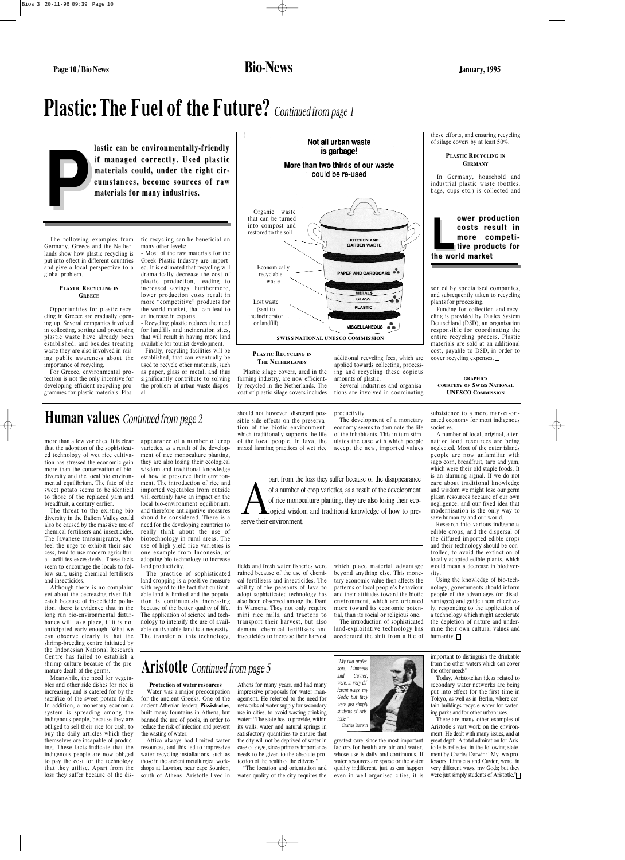The following examples from Germany, Greece and the Netherlands show how plastic recycling is put into effect in different countries and give a local perspective to a global problem.

#### **PLASTIC RECYCLING IN GREECE**

Opportunities for plastic recycling in Greece are gradually opening up. Several companies involved in collecting, sorting and processing plastic waste have already been established, and besides treating waste they are also involved in raising public awareness about the importance of recycling.

For Greece, environmental protection is not the only incentive for developing efficient recycling programmes for plastic materials. Plas-

tic recycling can be beneficial on many other levels:

- Most of the raw materials for the Greek Plastic Industry are imported. It is estimated that recycling will dramatically decrease the cost of plastic production, leading to increased savings. Furthermore, lower production costs result in more "competitive" products for the world market, that can lead to an increase in exports.

Funding for collection and recycling is provided by Duales System Deutschland (DSD), an organisation responsible for coordinating the entire recycling process. Plastic materials are sold at an additional cost, payable to DSD, in order to cover recycling expenses.  $\square$ 

- Recycling plastic reduces the need for landfills and incineration sites, that will result in having more land available for tourist development. - Finally, recycling facilities will be established, that can eventually be used to recycle other materials, such as paper, glass or metal, and thus significantly contribute to solving the problem of urban waste disposal.

#### **PLASTIC RECYCLING IN THE NETHERLANDS**

Plastic silage covers, used in the farming industry, are now efficiently recycled in the Netherlands. The cost of plastic silage covers includes additional recycling fees, which are applied towards collecting, processing and recycling these copious amounts of plastic.

Several industries and organisations are involved in coordinating

## **Human values** Continued from page 2

these efforts, and ensuring recycling of silage covers by at least 50%.

> **PLASTIC RECYCLING IN GERMANY**

In Germany, household and industrial plastic waste (bottles, bags, cups etc.) is collected and

sorted by specialised companies, and subsequently taken to recycling plants for processing.

more than a few varieties. It is clear that the adoption of the sophisticated technology of wet rice cultivation has stressed the economic gain more than the conservation of biodiversity and the local bio environmental equilibrium. The fate of the sweet potato seems to be identical to those of the replaced yam and breadfruit, a century earlier.

The threat to the existing bio diversity in the Baliem Valley could also be caused by the massive use of chemical fertilisers and insecticides. The Javanese transmigrants, who feel the urge to exhibit their success, tend to use modern agricultural facilities excessively. These facts seem to encourage the locals to follow suit, using chemical fertilisers and insecticides.

Using the knowledge of bio-technology, governments should inform people of the advantages (or disadvantages) and guide them effectively, responding to the application of a technology which might accelerate the depletion of nature and undermine their own cultural values and humanity.  $\Box$ 

Although there is no complaint yet about the decreasing river fishcatch because of insecticide pollution, there is evidence that in the long run bio-environmental disturbance will take place, if it is not anticipated early enough. What we can observe clearly is that the shrimp-breeding centre initiated by the Indonesian National Research Centre has failed to establish a shrimp culture because of the premature death of the germs. Meanwhile, the need for vegetables and other side dishes for rice is increasing, and is catered for by the sacrifice of the sweet potato fields. In addition, a monetary economic system is spreading among the indigenous people, because they are obliged to sell their rice for cash, to buy the daily articles which they themselves are incapable of producing. These facts indicate that the indigenous people are now obliged to pay the cost for the technology that they utilise. Apart from the loss they suffer because of the dis-

appearance of a number of crop varieties, as a result of the development of rice monoculture planting, they are also losing their ecological wisdom and traditional knowledge of how to preserve their environment. The introduction of rice and imported vegetables from outside will certainly have an impact on the local bio-environment equilibrium, and therefore anticipative measures should be considered. There is a need for the developing countries to really think about the use of biotechnology in rural areas. The use of high-yield rice varieties is one example from Indonesia, of adopting bio-technology to increase land productivity.

part from the loss they suffer because of the disappearance<br>of a number of crop varieties, as a result of the development<br>of rice monoculture planting, they are also losing their eco-<br>serve their environment of a number of crop varieties, as a result of the development of rice monoculture planting, they are also losing their ecological wisdom and traditional knowledge of how to preserve their environment.

The practice of sophisticated land-cropping is a positive measure with regard to the fact that cultivatable land is limited and the population is continuously increasing because of the better quality of life. The application of science and technology to intensify the use of available cultivatable land is a necessity. should not however, disregard possible side-effects on the preservation of the biotic environment, which traditionally supports the life of the local people. In Java, the mixed farming practices of wet rice

**Lower production**<br> **Costs result in**<br> **Lower products for**<br> **Costs result in more competi-**<br> **Costs for**<br> **Costs for**<br> **Costs for**<br> **Costs for costs result in costs result in more competi more competitive products for tive products for the world market the world market**

"My two profes-Charles Darwin

The transfer of this technology, insecticides to increase their harvest fields and fresh water fisheries were which place material advantage ruined because of the use of chemical fertilisers and insecticides. The tary economic value then affects the ability of the peasants of Java to patterns of local people's behaviour adopt sophisticated technology has and their attitudes toward the biotic also been observed among the Dani in Wamena. They not only require mini rice mills, and tractors to transport their harvest, but also demand chemical fertilisers and

productivity.

The development of a monetary economy seems to dominate the life of the inhabitants. This in turn stimulates the ease with which people accept the new, imported values

beyond anything else. This moneenvironment, which are oriented more toward its economic potential, than its social or religious one. The introduction of sophisticated land-exploitative technology has accelerated the shift from a life of

subsistence to a more market-oriented economy for most indigenous societies.

A number of local, original, alternative food resources are being neglected. Most of the outer islands people are now unfamiliar with sago corn, breadfruit, taro and yam, which were their old staple foods. It is an alarming signal. If we do not care about traditional knowledge and wisdom we might lose our germ plasm resources because of our own negligence, and our fixed idea that modernisation is the only way to save humanity and our world.

Research into various indigenous edible crops, and the dispersal of the diffused imported edible crops and their technology should be controlled, to avoid the extinction of locally-adapted edible plants, which would mean a decrease in biodiversity.

**Page 10 / Bio News Bio-News January, 1995**

## **Plastic: The Fuel of the Future?** Continued from page 1

**Protection of water resources** Water was a major preoccupation for the ancient Greeks. One of the ancient Athenian leaders, **Pissistratos**, built many fountains in Athens, but banned the use of pools, in order to reduce the risk of infection and prevent the wasting of water.

Attica always had limited water resources, and this led to impressive water recycling installations, such as those in the ancient metallurgical workshops at Lavrion, near cape Sounion, south of Athens .Aristotle lived in

Athens for many years, and had many impressive proposals for water management. He referred to the need for networks of water supply for secondary use in cities, to avoid wasting drinking water: "The state has to provide, within its walls, water and natural springs in satisfactory quantities to ensure that the city will not be deprived of water in case of siege, since primary importance needs to be given to the absolute protection of the health of the citizens."

"The location and orientation and water quality of the city requires the greatest care, since the most important factors for health are air and water, whose use is daily and continuous. If water resources are sparse or the water quality indifferent, just as can happen even in well-organised cities, it is

important to distinguish the drinkable from the other waters which can cover the other needs"

Today, Aristotelian ideas related to secondary water networks are being put into effect for the first time in Tokyo, as well as in Berlin, where certain buildings recycle water for watering parks and for other urban uses.

There are many other examples of Aristotle's vast work on the environment. He dealt with many issues, and at great depth. A total admiration for Aristotle is reflected in the following statement by Charles Darwin: "My two professors, Linnaeus and Cuvier, were, in very different ways, my Gods; but they were just simply students of Aristotle."

## **Aristotle** Continued from page 5

**P**

**lastic can be environmentally-friendly lastic can be environmentally-friendly if managed correctly. Used plastic if managed correctly. Used plastic** materials could, under the right cir**cumstances, become sources of raw cumstances, become sources of raw materials for many industries. materials for many industries.**



#### **GRAPHICS COURTESY OF SWISS NATIONAL UNESCO COMMISSION**



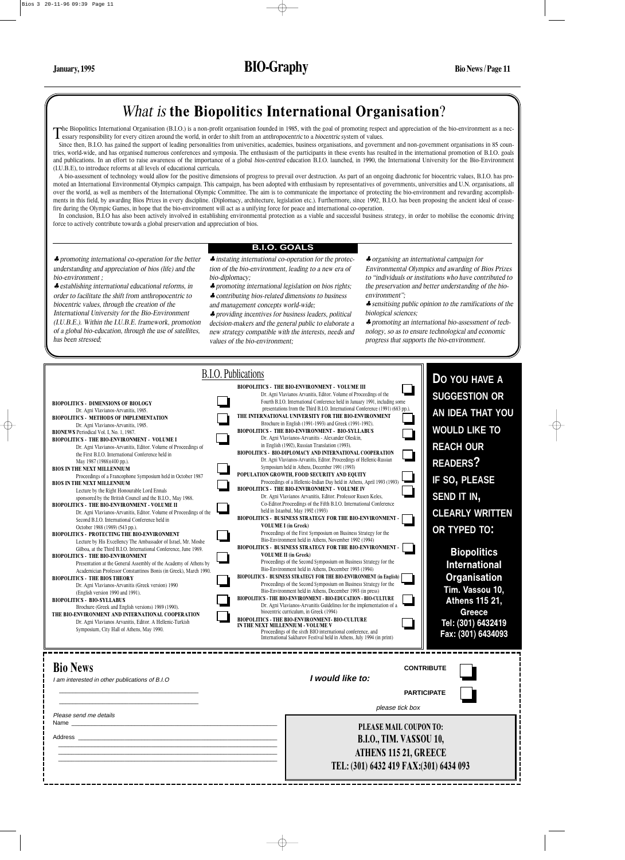**January, 1995 BIO-Graphy Bio News / Page 11** 

Since then, B.I.O. has gained the support of leading personalities from universities, academies, business organisations, and government and non-government organisations in 85 countries, world-wide, and has organised numerous conferences and symposia. The enthusiasm of the participants in these events has resulted in the international promotion of B.I.O. goals and publications. In an effort to raise awareness of the importance of a global bios-centred education B.I.O. launched, in 1990, the International University for the Bio-Environment (I.U.B.E), to introduce reforms at all levels of educational curricula.

|                                                                                                                                                                                                                                                                                                                                                                                                                                                                                                                                                                                                                                                                                                                                                                                                                                                                                                                                                                                                                                                                                                                                                                                                                                                                                                                                                                                                                                                                                                                                                                                                                                                                                             | <b>B.I.O.</b> Publications<br>DO YOU HAVE A                                                                                                                                                                                                                                                                                                                                                                                                                                                                                                                                                                                                                                                                                                                                                                                                                                                                                                                                                                                                                                                                                                                                                                                                                                                                                                                                                                                                                                                                                                                                                                                                                                                                                                                                                                                                                                                                                                                                                                                                                                                                                                                                                                                                                                                                                                                                                                                                                                                                                                                                                      |  |  |
|---------------------------------------------------------------------------------------------------------------------------------------------------------------------------------------------------------------------------------------------------------------------------------------------------------------------------------------------------------------------------------------------------------------------------------------------------------------------------------------------------------------------------------------------------------------------------------------------------------------------------------------------------------------------------------------------------------------------------------------------------------------------------------------------------------------------------------------------------------------------------------------------------------------------------------------------------------------------------------------------------------------------------------------------------------------------------------------------------------------------------------------------------------------------------------------------------------------------------------------------------------------------------------------------------------------------------------------------------------------------------------------------------------------------------------------------------------------------------------------------------------------------------------------------------------------------------------------------------------------------------------------------------------------------------------------------|--------------------------------------------------------------------------------------------------------------------------------------------------------------------------------------------------------------------------------------------------------------------------------------------------------------------------------------------------------------------------------------------------------------------------------------------------------------------------------------------------------------------------------------------------------------------------------------------------------------------------------------------------------------------------------------------------------------------------------------------------------------------------------------------------------------------------------------------------------------------------------------------------------------------------------------------------------------------------------------------------------------------------------------------------------------------------------------------------------------------------------------------------------------------------------------------------------------------------------------------------------------------------------------------------------------------------------------------------------------------------------------------------------------------------------------------------------------------------------------------------------------------------------------------------------------------------------------------------------------------------------------------------------------------------------------------------------------------------------------------------------------------------------------------------------------------------------------------------------------------------------------------------------------------------------------------------------------------------------------------------------------------------------------------------------------------------------------------------------------------------------------------------------------------------------------------------------------------------------------------------------------------------------------------------------------------------------------------------------------------------------------------------------------------------------------------------------------------------------------------------------------------------------------------------------------------------------------------------|--|--|
| <b>BIOPOLITICS - DIMENSIONS OF BIOLOGY</b><br>Dr. Agni Vlavianos-Arvanitis, 1985.<br><b>BIOPOLITICS - METHODS OF IMPLEMENTATION</b><br>Dr. Agni Vlavianos-Arvanitis, 1985.<br><b>BIONEWS</b> Periodical Vol. I, No. 1, 1987.<br><b>BIOPOLITICS - THE BIO-ENVIRONMENT - VOLUME I</b><br>Dr. Agni Vlavianos-Arvanitis, Editor. Volume of Proceedings of<br>the First B.I.O. International Conference held in<br>May 1987 (1988)(400 pp.).<br><b>BIOS IN THE NEXT MILLENNIUM</b><br>Proceedings of a Francophone Symposium held in October 1987<br><b>BIOS IN THE NEXT MILLENNIUM</b><br>Lecture by the Right Honourable Lord Ennals<br>sponsored by the British Council and the B.I.O., May 1988.<br><b>BIOPOLITICS - THE BIO-ENVIRONMENT - VOLUME II</b><br>Dr. Agni Vlavianos-Arvanitis, Editor. Volume of Proceedings of the<br>Second B.I.O. International Conference held in<br>October 1988 (1989) (543 pp.).<br><b>BIOPOLITICS - PROTECTING THE BIO-ENVIRONMENT</b><br>Lecture by His Excellency The Ambassador of Israel, Mr. Moshe<br>Gilboa, at the Third B.I.O. International Conference, June 1989.<br><b>BIOPOLITICS - THE BIO-ENVIRONMENT</b><br>Presentation at the General Assembly of the Academy of Athens by<br>Academician Professor Constantinos Bonis (in Greek), March 1990.<br><b>BIOPOLITICS - THE BIOS THEORY</b><br>Dr. Agni Vlavianos-Arvanitis (Greek version) 1990<br>(English version 1990 and 1991).<br><b>BIOPOLITICS - BIO-SYLLABUS</b><br>Brochure (Greek and English versions) 1989 (1990).<br>THE BIO-ENVIRONMENT AND INTERNATIONAL COOPERATION<br>Dr. Agni Vlavianos Arvanitis, Editor. A Hellenic-Turkish<br>Symposium, City Hall of Athens, May 1990. | <b>BIOPOLITICS - THE BIO-ENVIRONMENT - VOLUME III</b><br>Dr. Agni Vlavianos Arvanitis, Editor. Volume of Proceedings of the<br><b>SUGGESTION OR</b><br>Fourth B.I.O. International Conference held in January 1991, including some<br>presentations from the Third B.I.O. International Conference (1991) (683 pp.).<br>AN IDEA THAT YOU<br>THE INTERNATIONAL UNIVERSITY FOR THE BIO-ENVIRONMENT<br>Brochure in English (1991-1993) and Greek (1991-1992).<br><b>WOULD LIKE TO</b><br><b>BIOPOLITICS - THE BIO-ENVIRONMENT - BIO-SYLLABUS</b><br>Dr. Agni Vlavianos-Arvanitis - Alexander Oleskin,<br><b>REACH OUR</b><br>in English (1992), Russian Translation (1993).<br>BIOPOLITICS - BIO-DIPLOMACY AND INTERNATIONAL COOPERATION<br>Dr. Agni Vlavianos-Arvanitis, Editor. Proceedings of Hellenic-Russian<br><b>READERS?</b><br>Symposium held in Athens, December 1991 (1993)<br>POPULATION GROWTH, FOOD SECURITY AND EQUITY<br>IF SO, PLEASE<br>Proceedings of a Hellenic-Indian Day held in Athens, April 1993 (1993)<br><u>ти на п</u><br><b>BIOPOLITICS - THE BIO-ENVIRONMENT - VOLUME IV</b><br>SEND IT IN,<br>Dr. Agni Vlavianos Arvanitis, Editor. Professor Rusen Keles,<br>Co-Editor.Proceedings of the Fifth B.I.O. International Conference<br><b>CLEARLY WRITTEN</b><br>held in Istanbul, May 1992 (1993)<br>BIOPOLITICS - BUSINESS STRATEGY FOR THE BIO-ENVIRONMENT -<br><b>VOLUME I</b> (in Greek)<br>OR TYPED TO:<br>Proceedings of the First Symposium on Business Strategy for the<br>Bio-Environment held in Athens, November 1992 (1994)<br>BIOPOLITICS - BUSINESS STRATEGY FOR THE BIO-ENVIRONMENT -<br><b>Biopolitics</b><br><b>VOLUME II (in Greek)</b><br>Proceedings of the Second Symposium on Business Strategy for the<br><b>International</b><br>Bio-Environment held in Athens, December 1993 (1994)<br><b>Organisation</b><br>BIOPOLITICS - BUSINESS STRATEGY FOR THE BIO-ENVIRONMENT (in English)<br>Proceedings of the Second Symposium on Business Strategy for the<br>Tim. Vassou 10,<br>Bio-Environment held in Athens, December 1993 (in press)<br>BIOPOLITICS - THE BIO-ENVIRONMENT - BIO-EDUCATION - BIO-CULTURE<br><b>Athens 115 21,</b><br>Dr. Agni Vlavianos-Arvanitis Guidelines for the implementation of a<br><b>Greece</b><br>biocentric curriculum, in Greek (1994)<br>BIOPOLITICS - THE BIO-ENVIRONMENT- BIO-CULTURE<br>Tel: (301) 6432419<br>IN THE NEXT MILLENNIUM - VOLUME V<br>Proceedings of the sixth BIO international conference, and<br>Fax: (301) 6434093<br>International Sakharov Festival held in Athens, July 1994 (in print) |  |  |
| <b>Bio News</b><br>I am interested in other publications of B.I.O<br>Please send me details                                                                                                                                                                                                                                                                                                                                                                                                                                                                                                                                                                                                                                                                                                                                                                                                                                                                                                                                                                                                                                                                                                                                                                                                                                                                                                                                                                                                                                                                                                                                                                                                 | <b>CONTRIBUTE</b><br>I would like to:<br><b>PARTICIPATE</b><br>please tick box<br><b>PLEASE MAIL COUPON TO:</b>                                                                                                                                                                                                                                                                                                                                                                                                                                                                                                                                                                                                                                                                                                                                                                                                                                                                                                                                                                                                                                                                                                                                                                                                                                                                                                                                                                                                                                                                                                                                                                                                                                                                                                                                                                                                                                                                                                                                                                                                                                                                                                                                                                                                                                                                                                                                                                                                                                                                                  |  |  |
|                                                                                                                                                                                                                                                                                                                                                                                                                                                                                                                                                                                                                                                                                                                                                                                                                                                                                                                                                                                                                                                                                                                                                                                                                                                                                                                                                                                                                                                                                                                                                                                                                                                                                             | <b>B.I.O., TIM. VASSOU 10,</b><br><b>ATHENS 115 21, GREECE</b><br>TEL: (301) 6432 419 FAX: (301) 6434 093                                                                                                                                                                                                                                                                                                                                                                                                                                                                                                                                                                                                                                                                                                                                                                                                                                                                                                                                                                                                                                                                                                                                                                                                                                                                                                                                                                                                                                                                                                                                                                                                                                                                                                                                                                                                                                                                                                                                                                                                                                                                                                                                                                                                                                                                                                                                                                                                                                                                                        |  |  |

 $\rightarrow$ 

A bio-assessment of technology would allow for the positive dimensions of progress to prevail over destruction. As part of an ongoing diachronic for biocentric values, B.I.O. has promoted an International Environmental Olympics campaign. This campaign, has been adopted with enthusiasm by representatives of governments, universities and U.N. organisations, all over the world, as well as members of the International Olympic Committee. The aim is to communicate the importance of protecting the bio-environment and rewarding accomplishments in this field, by awarding Bios Prizes in every discipline. (Diplomacy, architecture, legislation etc.). Furthermore, since 1992, B.I.O. has been proposing the ancient ideal of ceasefire during the Olympic Games, in hope that the bio-environment will act as a unifying force for peace and international co-operation.

In conclusion, B.I.O has also been actively involved in establishing environmental protection as a viable and successful business strategy, in order to mobilise the economic driving force to actively contribute towards a global preservation and appreciation of bios.

## What is **the Biopolitics International Organisation**?

The Biopolitics International Organisation (B.I.O.) is a non-profit organisation founded in 1985, with the goal of promoting respect and appreciation of the bio-environment as a nec-**L** essary responsibility for every citizen around the world, in order to shift from an *anthropocentric* to a *biocentric* system of values.

♣ promoting international co-operation for the better understanding and appreciation of bios (life) and the bio-environment ;

♣ establishing international educational reforms, in order to facilitate the shift from anthropocentric to biocentric values, through the creation of the International University for the Bio-Environment (I.U.B.E.). Within the I.U.B.E. framework, promotion of a global bio-education, through the use of satellites, has been stressed;

### ♣ instating international co-operation for the protection of the bio-environment, leading to a new era of bio-diplomacy;

- ♣ promoting international legislation on bios rights;
- ♣ contributing bios-related dimensions to business and management concepts world-wide;

♣ providing incentives for business leaders, political decision-makers and the general public to elaborate a new strategy compatible with the interests, needs and values of the bio-environment;

♣ organising an international campaign for

Environmental Olympics and awarding of Bios Prizes to "individuals or institutions who have contributed to the preservation and better understanding of the bioenvironment";

♣ sensitising public opinion to the ramifications of the biological sciences;

♣ promoting an international bio-assessment of technology, so as to ensure technological and economic progress that supports the bio-environment.

#### **B.I.O. GOALS**